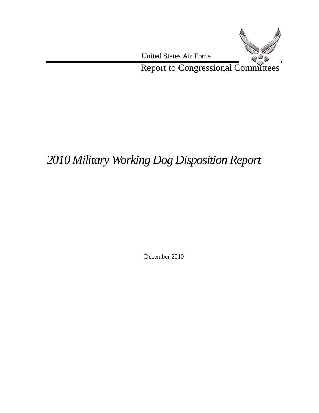

# *2010 Military Working Dog Disposition Report*

December 2010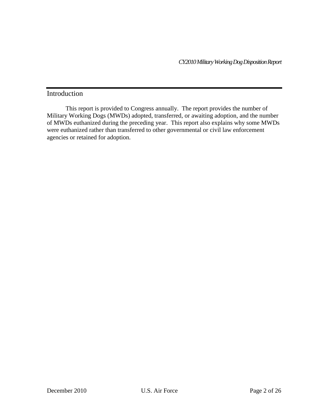*CY2010Military Working Dog Disposition Report*

## Introduction

This report is provided to Congress annually. The report provides the number of Military Working Dogs (MWDs) adopted, transferred, or awaiting adoption, and the number of MWDs euthanized during the preceding year. This report also explains why some MWDs were euthanized rather than transferred to other governmental or civil law enforcement agencies or retained for adoption.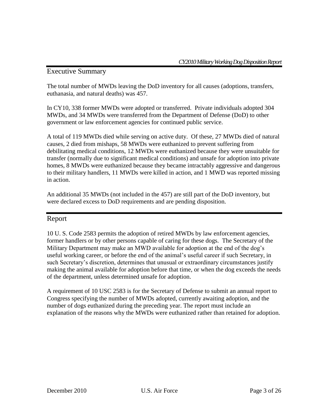## Executive Summary

The total number of MWDs leaving the DoD inventory for all causes (adoptions, transfers, euthanasia, and natural deaths) was 457.

In CY10, 338 former MWDs were adopted or transferred. Private individuals adopted 304 MWDs, and 34 MWDs were transferred from the Department of Defense (DoD) to other government or law enforcement agencies for continued public service.

A total of 119 MWDs died while serving on active duty. Of these, 27 MWDs died of natural causes, 2 died from mishaps, 58 MWDs were euthanized to prevent suffering from debilitating medical conditions, 12 MWDs were euthanized because they were unsuitable for transfer (normally due to significant medical conditions) and unsafe for adoption into private homes, 8 MWDs were euthanized because they became intractably aggressive and dangerous to their military handlers, 11 MWDs were killed in action, and 1 MWD was reported missing in action.

An additional 35 MWDs (not included in the 457) are still part of the DoD inventory, but were declared excess to DoD requirements and are pending disposition.

### Report

10 U. S. Code 2583 permits the adoption of retired MWDs by law enforcement agencies, former handlers or by other persons capable of caring for these dogs. The Secretary of the Military Department may make an MWD available for adoption at the end of the dog's useful working career, or before the end of the animal's useful career if such Secretary, in such Secretary's discretion, determines that unusual or extraordinary circumstances justify making the animal available for adoption before that time, or when the dog exceeds the needs of the department, unless determined unsafe for adoption.

A requirement of 10 USC 2583 is for the Secretary of Defense to submit an annual report to Congress specifying the number of MWDs adopted, currently awaiting adoption, and the number of dogs euthanized during the preceding year. The report must include an explanation of the reasons why the MWDs were euthanized rather than retained for adoption.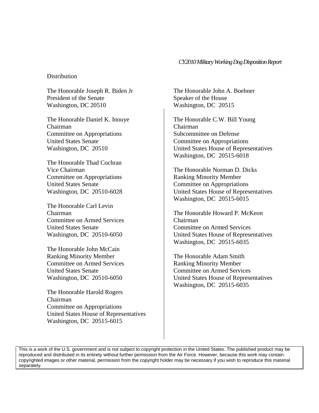#### *CY2010Military Working Dog Disposition Report*

#### Distribution

The Honorable Joseph R. Biden Jr President of the Senate Washington, DC 20510

The Honorable Daniel K. Inouye Chairman Committee on Appropriations United States Senate Washington, DC 20510

The Honorable Thad Cochran Vice Chairman Committee on Appropriations United States Senate Washington, DC 20510-6028

The Honorable Carl Levin Chairman Committee on Armed Services United States Senate Washington, DC 20510-6050

The Honorable John McCain Ranking Minority Member Committee on Armed Services United States Senate Washington, DC 20510-6050

The Honorable Harold Rogers Chairman Committee on Appropriations United States House of Representatives Washington, DC 20515-6015

The Honorable John A. Boehner Speaker of the House Washington, DC 20515

The Honorable C.W. Bill Young Chairman Subcommittee on Defense Committee on Appropriations United States House of Representatives Washington, DC 20515-6018

The Honorable Norman D. Dicks Ranking Minority Member Committee on Appropriations United States House of Representatives Washington, DC 20515-6015

The Honorable Howard P. McKeon Chairman Committee on Armed Services United States House of Representatives Washington, DC 20515-6035

The Honorable Adam Smith Ranking Minority Member Committee on Armed Services United States House of Representatives Washington, DC 20515-6035

This is a work of the U.S. government and is not subject to copyright protection in the United States. The published product may be reproduced and distributed in its entirety without further permission from the Air Force. However, because this work may contain copyrighted images or other material, permission from the copyright holder may be necessary if you wish to reproduce this material separately.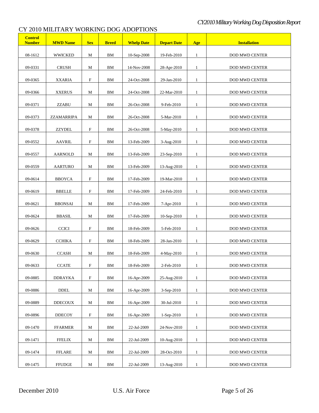| <b>Control</b><br><b>Number</b> | <b>MWD Name</b> | <b>Sex</b>                | <b>Breed</b> | <b>Whelp Date</b> | <b>Depart Date</b> | Age          | <b>Installation</b>   |
|---------------------------------|-----------------|---------------------------|--------------|-------------------|--------------------|--------------|-----------------------|
| 08-1612                         | <b>WWICKED</b>  | $\mathbf M$               | ${\rm BM}$   | 10-Sep-2008       | 19-Feb-2010        | $\mathbf{1}$ | <b>DOD MWD CENTER</b> |
| 09-0331                         | <b>CRUSH</b>    | M                         | BM           | 14-Nov-2008       | 28-Apr-2010        | $\mathbf{1}$ | DOD MWD CENTER        |
| 09-0365                         | <b>XXARIA</b>   | F                         | ${\bf BM}$   | 24-Oct-2008       | 29-Jan-2010        | $\mathbf{1}$ | DOD MWD CENTER        |
| 09-0366                         | <b>XXERUS</b>   | М                         | <b>BM</b>    | 24-Oct-2008       | 22-Mar-2010        | $\mathbf{1}$ | <b>DOD MWD CENTER</b> |
| 09-0371                         | <b>ZZABU</b>    | $\mathbf M$               | <b>BM</b>    | 26-Oct-2008       | 9-Feb-2010         | $\mathbf{1}$ | DOD MWD CENTER        |
| 09-0373                         | ZZAMARRIPA      | $\mathbf M$               | <b>BM</b>    | 26-Oct-2008       | 5-Mar-2010         | $\mathbf{1}$ | DOD MWD CENTER        |
| 09-0378                         | <b>ZZYDEL</b>   | $\boldsymbol{\mathrm{F}}$ | <b>BM</b>    | 26-Oct-2008       | 5-May-2010         | $\mathbf{1}$ | DOD MWD CENTER        |
| 09-0552                         | <b>AAVRIL</b>   | $\mathbf F$               | <b>BM</b>    | 13-Feb-2009       | 3-Aug-2010         | $\mathbf{1}$ | DOD MWD CENTER        |
| 09-0557                         | <b>AARNOLD</b>  | М                         | <b>BM</b>    | 13-Feb-2009       | 23-Sep-2010        | $\mathbf{1}$ | <b>DOD MWD CENTER</b> |
| 09-0559                         | <b>AARTURO</b>  | M                         | <b>BM</b>    | 13-Feb-2009       | 13-Aug-2010        | $\mathbf{1}$ | <b>DOD MWD CENTER</b> |
| 09-0614                         | <b>BBOYCA</b>   | $\boldsymbol{\mathrm{F}}$ | <b>BM</b>    | 17-Feb-2009       | 19-Mar-2010        | $\mathbf{1}$ | <b>DOD MWD CENTER</b> |
| 09-0619                         | <b>BBELLE</b>   | $\boldsymbol{\mathrm{F}}$ | <b>BM</b>    | 17-Feb-2009       | 24-Feb-2010        | $\mathbf{1}$ | <b>DOD MWD CENTER</b> |
| 09-0621                         | <b>BBONSAI</b>  | М                         | ${\rm BM}$   | 17-Feb-2009       | 7-Apr-2010         | $\mathbf{1}$ | <b>DOD MWD CENTER</b> |
| 09-0624                         | <b>BBASIL</b>   | M                         | BM           | 17-Feb-2009       | 10-Sep-2010        | $\mathbf{1}$ | DOD MWD CENTER        |
| 09-0626                         | <b>CCICI</b>    | $\boldsymbol{\mathrm{F}}$ | ${\rm BM}$   | 18-Feb-2009       | 5-Feb-2010         | $\mathbf{1}$ | <b>DOD MWD CENTER</b> |
| 09-0629                         | <b>CCHIKA</b>   | $\boldsymbol{\mathrm{F}}$ | <b>BM</b>    | 18-Feb-2009       | 28-Jan-2010        | $\mathbf{1}$ | DOD MWD CENTER        |
| 09-0630                         | <b>CCASH</b>    | M                         | BM           | 18-Feb-2009       | 4-May-2010         | $\mathbf{1}$ | DOD MWD CENTER        |
| 09-0633                         | <b>CCATE</b>    | F                         | ВM           | 18-Feb-2009       | 2-Feb-2010         | 1            | DOD MWD CENTER        |
| 09-0885                         | <b>DDRAYKA</b>  | $\boldsymbol{\mathrm{F}}$ | BM           | 16-Apr-2009       | 25-Aug-2010        | $\mathbf{1}$ | DOD MWD CENTER        |
| 09-0886                         | DDEL            | M                         | ΒM           | 16-Apr-2009       | 3-Sep-2010         | $\mathbf{1}$ | DOD MWD CENTER        |
| 09-0889                         | <b>DDECOUX</b>  | M                         | ΒM           | 16-Apr-2009       | 30-Jul-2010        | $\mathbf{1}$ | <b>DOD MWD CENTER</b> |
| 09-0896                         | <b>DDECOY</b>   | $\boldsymbol{\mathrm{F}}$ | BM           | 16-Apr-2009       | $1-Sep-2010$       | $\mathbf{1}$ | DOD MWD CENTER        |
| 09-1470                         | <b>FFARMER</b>  | М                         | BM           | 22-Jul-2009       | 24-Nov-2010        | $\mathbf{1}$ | <b>DOD MWD CENTER</b> |
| 09-1471                         | <b>FFELIX</b>   | М                         | <b>BM</b>    | 22-Jul-2009       | 10-Aug-2010        | $\mathbf{1}$ | DOD MWD CENTER        |
| 09-1474                         | <b>FFLARE</b>   | М                         | BM           | 22-Jul-2009       | 28-Oct-2010        | $\mathbf{1}$ | <b>DOD MWD CENTER</b> |
| 09-1475                         | <b>FFUDGE</b>   | $\mathbf M$               | BM           | 22-Jul-2009       | 13-Aug-2010        | $\mathbf{1}$ | <b>DOD MWD CENTER</b> |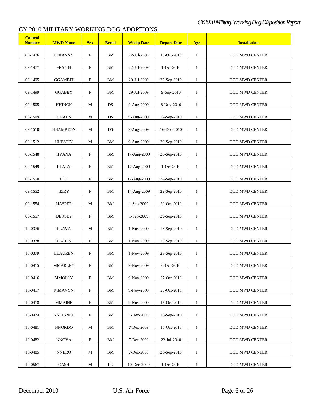| <b>Control</b><br><b>Number</b> | <b>MWD Name</b> | <b>Sex</b>                | <b>Breed</b> | <b>Whelp Date</b> | <b>Depart Date</b> | Age          | <b>Installation</b>   |
|---------------------------------|-----------------|---------------------------|--------------|-------------------|--------------------|--------------|-----------------------|
| 09-1476                         | <b>FFRANNY</b>  | $\boldsymbol{\mathrm{F}}$ | ${\rm BM}$   | 22-Jul-2009       | 15-Oct-2010        | $\mathbf{1}$ | DOD MWD CENTER        |
| 09-1477                         | <b>FFAITH</b>   | $\boldsymbol{\mathrm{F}}$ | ${\bf BM}$   | 22-Jul-2009       | 1-Oct-2010         | $\mathbf{1}$ | <b>DOD MWD CENTER</b> |
| 09-1495                         | <b>GGAMBIT</b>  | F                         | ${\bf BM}$   | 29-Jul-2009       | 23-Sep-2010        | $\mathbf{1}$ | DOD MWD CENTER        |
| 09-1499                         | <b>GGABBY</b>   | $\mathbf F$               | <b>BM</b>    | 29-Jul-2009       | 9-Sep-2010         | $\mathbf{1}$ | <b>DOD MWD CENTER</b> |
| 09-1505                         | <b>HHINCH</b>   | $\mathbf M$               | DS           | 9-Aug-2009        | 8-Nov-2010         | $\mathbf{1}$ | DOD MWD CENTER        |
| 09-1509                         | <b>HHAUS</b>    | $\mathbf M$               | $_{\rm DS}$  | 9-Aug-2009        | 17-Sep-2010        | $\mathbf{1}$ | <b>DOD MWD CENTER</b> |
| 09-1510                         | <b>HHAMPTON</b> | М                         | DS           | 9-Aug-2009        | 16-Dec-2010        | $\mathbf{1}$ | DOD MWD CENTER        |
| 09-1512                         | <b>HHESTIN</b>  | M                         | BM           | 9-Aug-2009        | 29-Sep-2010        | $\mathbf{1}$ | DOD MWD CENTER        |
| 09-1548                         | <b>IIVANA</b>   | $\mathbf F$               | BM           | 17-Aug-2009       | 23-Sep-2010        | $\mathbf{1}$ | DOD MWD CENTER        |
| 09-1549                         | <b>IITALY</b>   | $\boldsymbol{\mathrm{F}}$ | BM           | 17-Aug-2009       | 1-Oct-2010         | $\mathbf{1}$ | DOD MWD CENTER        |
| 09-1550                         | <b>IICE</b>     | $\boldsymbol{\mathrm{F}}$ | BM           | 17-Aug-2009       | 24-Sep-2010        | $\mathbf{1}$ | DOD MWD CENTER        |
| 09-1552                         | <b>IIZZY</b>    | $\boldsymbol{\mathrm{F}}$ | <b>BM</b>    | 17-Aug-2009       | 22-Sep-2010        | $\mathbf{1}$ | <b>DOD MWD CENTER</b> |
| 09-1554                         | <b>JJASPER</b>  | M                         | ${\rm BM}$   | 1-Sep-2009        | 29-Oct-2010        | $\mathbf{1}$ | <b>DOD MWD CENTER</b> |
| 09-1557                         | <b>JJERSEY</b>  | $\boldsymbol{\mathrm{F}}$ | ${\bf BM}$   | 1-Sep-2009        | 29-Sep-2010        | $\mathbf{1}$ | DOD MWD CENTER        |
| 10-0376                         | LLAVA           | M                         | ${\bf BM}$   | 1-Nov-2009        | 13-Sep-2010        | $\mathbf{1}$ | DOD MWD CENTER        |
| 10-0378                         | <b>LLAPIS</b>   | $\boldsymbol{\mathrm{F}}$ | <b>BM</b>    | 1-Nov-2009        | 10-Sep-2010        | $\mathbf{1}$ | <b>DOD MWD CENTER</b> |
| 10-0379                         | <b>LLAUREN</b>  | $\boldsymbol{\mathrm{F}}$ | BM           | 1-Nov-2009        | 23-Sep-2010        | $\mathbf{1}$ | DOD MWD CENTER        |
| 10-0415                         | MMARLEY         | $\boldsymbol{\mathrm{F}}$ | ВM           | 9-Nov-2009        | 6-Oct-2010         | 1            | <b>DOD MWD CENTER</b> |
| 10-0416                         | <b>MMOLLY</b>   | $\boldsymbol{\mathrm{F}}$ | BМ           | 9-Nov-2009        | 27-Oct-2010        | $\mathbf{1}$ | <b>DOD MWD CENTER</b> |
| 10-0417                         | MMAVYN          | $\mathbf F$               | ΒM           | 9-Nov-2009        | 29-Oct-2010        | $\mathbf{1}$ | DOD MWD CENTER        |
| 10-0418                         | <b>MMAINE</b>   | $\mathbf F$               | ΒM           | 9-Nov-2009        | 15-Oct-2010        | $\mathbf{1}$ | DOD MWD CENTER        |
| 10-0474                         | NNEE-NEE        | $\boldsymbol{\mathrm{F}}$ | BM           | 7-Dec-2009        | $10-$ Sep $-2010$  | $\mathbf{1}$ | DOD MWD CENTER        |
| 10-0481                         | <b>NNORDO</b>   | М                         | BM           | 7-Dec-2009        | 15-Oct-2010        | $\mathbf{1}$ | DOD MWD CENTER        |
| 10-0482                         | <b>NNOVA</b>    | $\boldsymbol{\mathrm{F}}$ | ΒM           | 7-Dec-2009        | 22-Jul-2010        | $\mathbf{1}$ | DOD MWD CENTER        |
| 10-0485                         | <b>NNERO</b>    | М                         | BМ           | 7-Dec-2009        | 20-Sep-2010        | $\mathbf{1}$ | <b>DOD MWD CENTER</b> |
| 10-0567                         | CASH            | М                         | LR           | 10-Dec-2009       | 1-Oct-2010         | $\mathbf{1}$ | DOD MWD CENTER        |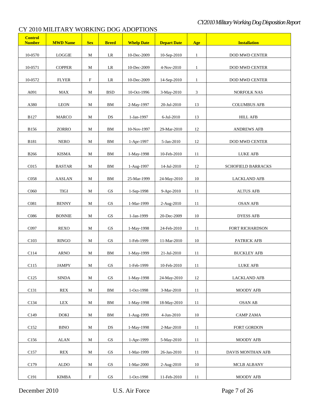| <b>Control</b><br><b>Number</b> | <b>MWD Name</b> | <b>Sex</b>                | <b>Breed</b>           | <b>Whelp Date</b> | <b>Depart Date</b> | Age          | <b>Installation</b>       |
|---------------------------------|-----------------|---------------------------|------------------------|-------------------|--------------------|--------------|---------------------------|
| 10-0570                         | <b>LOGGIE</b>   | М                         | $\rm LR$               | 10-Dec-2009       | 10-Sep-2010        | $\mathbf{1}$ | DOD MWD CENTER            |
| 10-0571                         | <b>COPPER</b>   | M                         | LR                     | 10-Dec-2009       | 4-Nov-2010         | $\mathbf{1}$ | DOD MWD CENTER            |
| 10-0572                         | <b>FLYER</b>    | F                         | $\rm LR$               | 10-Dec-2009       | 14-Sep-2010        | $\mathbf{1}$ | DOD MWD CENTER            |
| A091                            | MAX             | $\mathbf M$               | <b>BSD</b>             | 10-Oct-1996       | 3-May-2010         | 3            | NORFOLK NAS               |
| A380                            | <b>LEON</b>     | M                         | ${\rm BM}$             | 2-May-1997        | 20-Jul-2010        | 13           | <b>COLUMBUS AFB</b>       |
| <b>B127</b>                     | MARCO           | М                         | DS                     | 1-Jan-1997        | 6-Jul-2010         | 13           | <b>HILL AFB</b>           |
| <b>B156</b>                     | ZORRO           | M                         | ${\rm BM}$             | 10-Nov-1997       | 29-Mar-2010        | 12           | ANDREWS AFB               |
| <b>B181</b>                     | <b>NERO</b>     | $\mathbf M$               | BM                     | 1-Apr-1997        | 5-Jan-2010         | 12           | DOD MWD CENTER            |
| <b>B266</b>                     | <b>KISMA</b>    | $\mathbf M$               | ${\rm BM}$             | 1-May-1998        | 10-Feb-2010        | 11           | LUKE AFB                  |
| C015                            | <b>BASTAR</b>   | $\mathbf M$               | BM                     | 1-Aug-1997        | 14-Jul-2010        | 12           | <b>SCHOFIELD BARRACKS</b> |
| C <sub>058</sub>                | <b>AASLAN</b>   | M                         | BM                     | 25-Mar-1999       | 24-May-2010        | 10           | <b>LACKLAND AFB</b>       |
| C <sub>060</sub>                | <b>TIGI</b>     | М                         | $\mathbf{G}\mathbf{S}$ | 1-Sep-1998        | 9-Apr-2010         | 11           | <b>ALTUS AFB</b>          |
| C081                            | <b>BENNY</b>    | M                         | GS                     | 1-Mar-1999        | 2-Aug-2010         | 11           | <b>OSAN AFB</b>           |
| C086                            | <b>BONNIE</b>   | M                         | GS                     | 1-Jan-1999        | 20-Dec-2009        | 10           | <b>DYESS AFB</b>          |
| C097                            | <b>REXO</b>     | $\mathbf M$               | GS                     | 1-May-1998        | 24-Feb-2010        | 11           | <b>FORT RICHARDSON</b>    |
|                                 |                 |                           |                        |                   |                    |              |                           |
| C103                            | <b>RINGO</b>    | М                         | GS                     | 1-Feb-1999        | 11-Mar-2010        | 10           | PATRICK AFB               |
| C114                            | <b>ARNO</b>     | М                         | BM                     | 1-May-1999        | 21-Jul-2010        | 11           | <b>BUCKLEY AFB</b>        |
| C <sub>115</sub>                | <b>JAMPY</b>    | М                         | <b>GS</b>              | 1-Feb-1999        | 10-Feb-2010        | 11           | <b>LUKE AFB</b>           |
| C125                            | SINDA           | M                         | $\operatorname{GS}$    | 1-May-1998        | 24-May-2010        | 12           | <b>LACKLAND AFB</b>       |
| C131                            | <b>REX</b>      | М                         | BM                     | 1-Oct-1998        | 3-Mar-2010         | 11           | MOODY AFB                 |
| C134                            | LEX             | М                         | BM                     | 1-May-1998        | 18-May-2010        | $11\,$       | <b>OSAN AB</b>            |
| C149                            | DOKI            | М                         | BM                     | 1-Aug-1999        | 4-Jun-2010         | 10           | <b>CAMP ZAMA</b>          |
| C <sub>152</sub>                | <b>BINO</b>     | М                         | DS                     | 1-May-1998        | 2-Mar-2010         | 11           | <b>FORT GORDON</b>        |
| C <sub>156</sub>                | ALAN            | M                         | GS                     | 1-Apr-1999        | 5-May-2010         | 11           | MOODY AFB                 |
| C <sub>157</sub>                | REX             | M                         | GS                     | 1-Mar-1999        | 26-Jan-2010        | 11           | DAVIS MONTHAN AFB         |
| C <sub>179</sub>                | ALDO            | M                         | GS                     | 1-Mar-2000        | $2-Aug-2010$       | 10           | MCLB ALBANY               |
| C191                            | <b>KIMBA</b>    | $\boldsymbol{\mathrm{F}}$ | $\mathbf{G}\mathbf{S}$ | 1-Oct-1998        | 11-Feb-2010        | 11           | MOODY AFB                 |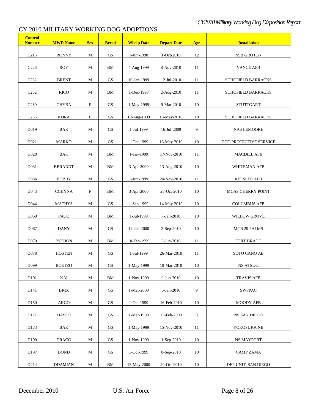| <b>Control</b><br><b>Number</b> | <b>MWD Name</b> | <b>Sex</b>                | <b>Breed</b>           | <b>Whelp Date</b> | <b>Depart Date</b> | Age | <b>Installation</b>       |
|---------------------------------|-----------------|---------------------------|------------------------|-------------------|--------------------|-----|---------------------------|
| C <sub>216</sub>                | <b>RONNY</b>    | $\mathbf M$               | GS                     | 1-Jun-1998        | $1-Oct-2010$       | 12  | <b>NSB GROTON</b>         |
| C <sub>226</sub>                | <b>ROY</b>      | $\mathbf M$               | BM                     | 4-Aug-1999        | 8-Nov-2010         | 11  | <b>VANCE AFB</b>          |
| C <sub>232</sub>                | <b>BRENT</b>    | $\mathbf M$               | GS                     | 10-Jan-1999       | 12-Jul-2010        | 11  | SCHOFIELD BARRACKS        |
| C <sub>252</sub>                | <b>RICO</b>     | M                         | ${\bf BM}$             | 1-Dec-1998        | 2-Aug-2010         | 11  | <b>SCHOFIELD BARRACKS</b> |
| C <sub>260</sub>                | <b>CHYBA</b>    | $\boldsymbol{\mathrm{F}}$ | $\operatorname{GS}$    | 1-May-1999        | 9-Mar-2010         | 10  | <b>STUTTGART</b>          |
| C <sub>265</sub>                | <b>KORA</b>     | $\boldsymbol{\mathrm{F}}$ | $\mathbf{G}\mathbf{S}$ | 10-Aug-1999       | 13-May-2010        | 10  | SCHOFIELD BARRACKS        |
| D019                            | BAK             | $\mathbf M$               | $\mathbf{G}\mathbf{S}$ | 1-Jul-1999        | 16-Jul-2009        | 9   | <b>NAS LEMOORE</b>        |
| D <sub>021</sub>                | <b>MARKO</b>    | $\mathbf M$               | $\operatorname{GS}$    | 1-Oct-1999        | 13-May-2010        | 10  | DOD PROTECTIVE SERVICE    |
| D028                            | BAK             | $\mathbf M$               | BM                     | 1-Jan-1999        | 17-Nov-2010        | 11  | <b>MACDILL AFB</b>        |
| D <sub>0</sub> 31               | <b>BBRANDT</b>  | M                         | ${\bf BM}$             | 3-Apr-2000        | 13-Aug-2010        | 10  | WHITEMAN AFB              |
| D034                            | <b>BOBBY</b>    | M                         | $\mathbf{G}\mathbf{S}$ | 1-Jun-1999        | 24-Nov-2010        | 11  | <b>KEESLER AFB</b>        |
| D043                            | <b>CCHYNA</b>   | $\boldsymbol{\mathrm{F}}$ | ${\bf BM}$             | 3-Apr-2000        | 28-Oct-2010        | 10  | MCAS CHERRY POINT         |
| D <sub>044</sub>                | <b>MATHYS</b>   | $\mathbf M$               | $\mathbf{G}\mathbf{S}$ | 1-Sep-1999        | 14-May-2010        | 10  | <b>COLUMBUS AFB</b>       |
| D <sub>060</sub>                | <b>PACO</b>     | $\mathbf M$               | ${\rm BM}$             | 1-Jul-1999        | 7-Jan-2010         | 10  | <b>WILLOW GROVE</b>       |
| D067                            | <b>DANY</b>     | $\mathbf M$               | GS                     | 12-Jan-2000       | 2-Sep-2010         | 10  | MCB 29 PALMS              |
| D070                            | <b>PYTHON</b>   | M                         | BM                     | 10-Feb-1999       | 3-Jun-2010         | 11  | FORT BRAGG                |
| D078                            | <b>HOSTEN</b>   | M                         | $\operatorname{GS}$    | 1-Jul-1999        | 26-Mar-2010        | 11  | SOTO CANO AB              |
| D <sub>099</sub>                | <b>BOETZO</b>   | М                         | <b>GS</b>              | 1-May-1999        | 10-Mar-2010        | 10  | NS ATSUGI                 |
| D101                            | KAI             | M                         | BM                     | 1-Nov-1999        | 9-Jun-2010         | 10  | <b>TRAVIS AFB</b>         |
| D <sub>141</sub>                | <b>BRIX</b>     | М                         | GS                     | 1-Mar-2000        | 6-Jan-2010         | 9   | <b>SWFPAC</b>             |
| D <sub>150</sub>                | ARGO            | М                         | GS                     | 1-Oct-1999        | 16-Feb-2010        | 10  | <b>MOODY AFB</b>          |
| D <sub>171</sub>                | <b>HASSO</b>    | М                         | GS                     | 1-Mar-1999        | 13-Feb-2009        | 9   | <b>NS SAN DIEGO</b>       |
| D173                            | BAK             | M                         | GS                     | 1-May-1999        | 15-Nov-2010        | 11  | YOKOSUKA NB               |
| D <sub>190</sub>                | <b>DRAGO</b>    | М                         | GS                     | 1-Nov-1999        | 1-Sep-2010         | 10  | NS MAYPORT                |
| D <sub>197</sub>                | <b>BOND</b>     | М                         | GS                     | 1-Oct-1999        | 8-Sep-2010         | 10  | <b>CAMP ZAMA</b>          |
| D214                            | <b>DDAMIAN</b>  | $\mathbf M$               | BM                     | 15-May-2000       | 20-Oct-2010        | 10  | DEP UNIT, SAN DIEGO       |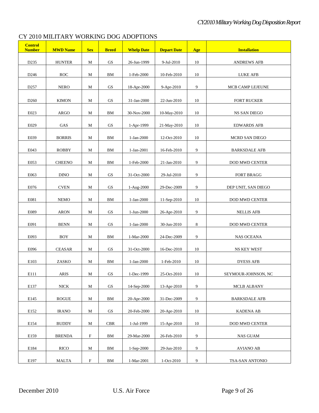| <b>Control</b><br><b>Number</b> | <b>MWD Name</b>       | <b>Sex</b>  | <b>Breed</b>           | <b>Whelp Date</b> | <b>Depart Date</b> | Age    | <b>Installation</b>   |
|---------------------------------|-----------------------|-------------|------------------------|-------------------|--------------------|--------|-----------------------|
| D235                            | <b>HUNTER</b>         | М           | GS                     | 26-Jun-1999       | 9-Jul-2010         | 10     | <b>ANDREWS AFB</b>    |
| D <sub>246</sub>                | ROC                   | M           | BМ                     | 1-Feb-2000        | 10-Feb-2010        | 10     | <b>LUKE AFB</b>       |
| D <sub>257</sub>                | <b>NERO</b>           | M           | GS                     | 18-Apr-2000       | 9-Apr-2010         | 9      | MCB CAMP LEJEUNE      |
| D <sub>260</sub>                | <b>KIMON</b>          | M           | GS                     | 31-Jan-2000       | 22-Jun-2010        | 10     | <b>FORT RUCKER</b>    |
|                                 |                       |             |                        |                   |                    |        |                       |
| E023                            | ARGO                  | M           | BM                     | 30-Nov-2000       | $10-May-2010$      | 10     | NS SAN DIEGO          |
| E029                            | GAS                   | M           | GS                     | 1-Apr-1999        | 21-May-2010        | 10     | <b>EDWARDS AFB</b>    |
| E039                            | <b>BORRIS</b>         | M           | BМ                     | 1-Jan-2000        | 12-Oct-2010        | 10     | MCRD SAN DIEGO        |
| E043                            | <b>ROBBY</b>          | M           | BМ                     | 1-Jan-2001        | 16-Feb-2010        | 9      | <b>BARKSDALE AFB</b>  |
| E053                            | <b>CHEENO</b>         | M           | BМ                     | 1-Feb-2000        | 21-Jan-2010        | 9      | <b>DOD MWD CENTER</b> |
| E063                            | <b>DINO</b>           | M           | GS                     | 31-Oct-2000       | 29-Jul-2010        | 9      | <b>FORT BRAGG</b>     |
| E076                            | <b>CVEN</b>           | M           | GS                     | $1-Aug-2000$      | 29-Dec-2009        | 9      | DEP UNIT, SAN DIEGO   |
| E081                            | <b>NEMO</b>           | M           | BM                     | 1-Jan-2000        | 11-Sep-2010        | 10     | <b>DOD MWD CENTER</b> |
| E089                            | <b>ARON</b>           | M           | GS                     | 1-Jun-2000        | 26-Apr-2010        | 9      | <b>NELLIS AFB</b>     |
| E091                            | <b>BENN</b>           | M           | GS                     | 1-Jan-2000        | 30-Jun-2010        | 8      | <b>DOD MWD CENTER</b> |
| E093                            | BOY                   | M           | BM                     | 1-Mar-2000        | 24-Dec-2009        | 9      | <b>NAS OCEANA</b>     |
| E096                            | <b>CEASAR</b>         | М           | GS                     | 31-Oct-2000       | 16-Dec-2010        | 10     | NS KEY WEST           |
| E103                            | ZASKO                 | М           | BM                     | 1-Jan-2000        | 1-Feb-2010         | 10     | <b>DYESS AFB</b>      |
| E111                            | $\operatorname{ARIS}$ |             | $\operatorname{GS}$    | 1-Dec-1999        | 25-Oct-2010        | $10\,$ |                       |
|                                 |                       | M           |                        |                   |                    |        | SEYMOUR-JOHNSON, NC   |
| E137                            | NICK                  | $\mathbf M$ | $\mathbf{G}\mathbf{S}$ | 14-Sep-2000       | 13-Apr-2010        | 9      | <b>MCLB ALBANY</b>    |
| E145                            | ROGUE                 | M           | BM                     | 20-Apr-2000       | 31-Dec-2009        | 9      | <b>BARKSDALE AFB</b>  |
| E152                            | <b>IRANO</b>          | M           | $\operatorname{GS}$    | 20-Feb-2000       | 20-Apr-2010        | 10     | <b>KADENA AB</b>      |
| E154                            | <b>BUDDY</b>          | $\mathbf M$ | $\rm{CBR}$             | 1-Jul-1999        | 15-Apr-2010        | 10     | <b>DOD MWD CENTER</b> |
| E159                            | <b>BRENDA</b>         | $\mathbf F$ | BM                     | 29-Mar-2000       | 26-Feb-2010        | 9      | <b>NAS GUAM</b>       |
| E184                            | <b>RICO</b>           | M           | BM                     | 1-Sep-2000        | 29-Jun-2010        | 9      | <b>AVIANO AB</b>      |
| E197                            | <b>MALTA</b>          | ${\bf F}$   | BM                     | 1-Mar-2001        | 1-Oct-2010         | 9      | TSA-SAN ANTONIO       |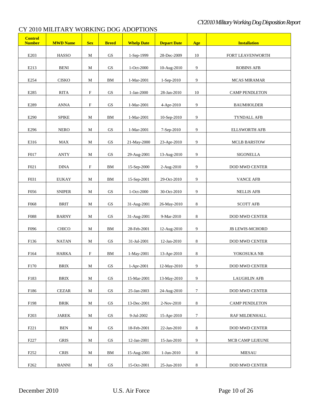| <b>Control</b><br><b>Number</b> | <b>MWD Name</b> | <b>Sex</b>                | <b>Breed</b>           | <b>Whelp Date</b> | <b>Depart Date</b> | Age     | <b>Installation</b>    |
|---------------------------------|-----------------|---------------------------|------------------------|-------------------|--------------------|---------|------------------------|
| E <sub>203</sub>                | HASSO           | М                         | GS                     | 1-Sep-1999        | 28-Dec-2009        | 10      | FORT LEAVENWORTH       |
| E213                            | <b>BENI</b>     | M                         | $\operatorname{GS}$    | 1-Oct-2000        | 10-Aug-2010        | 9       | <b>ROBINS AFB</b>      |
| E254                            | <b>CISKO</b>    | M                         | ${\bf BM}$             | 1-Mar-2001        | 1-Sep-2010         | 9       | <b>MCAS MIRAMAR</b>    |
| E285                            | <b>RITA</b>     | $\boldsymbol{\mathrm{F}}$ | $\operatorname{GS}$    | 1-Jan-2000        | 28-Jan-2010        | 10      | <b>CAMP PENDLETON</b>  |
| E289                            | <b>ANNA</b>     | $\boldsymbol{\mathrm{F}}$ | GS                     | 1-Mar-2001        | 4-Apr-2010         | 9       | <b>BAUMHOLDER</b>      |
| E290                            | <b>SPIKE</b>    | $\mathbf M$               | ${\bf BM}$             | 1-Mar-2001        | 10-Sep-2010        | 9       | TYNDALL AFB            |
| E296                            | <b>NERO</b>     | M                         | GS                     | 1-Mar-2001        | 7-Sep-2010         | 9       | <b>ELLSWORTH AFB</b>   |
| E316                            | MAX             | M                         | $\operatorname{GS}$    | 21-May-2000       | 23-Apr-2010        | 9       | <b>MCLB BARSTOW</b>    |
| F017                            | <b>ANTY</b>     | M                         | $\operatorname{GS}$    | 29-Aug-2001       | 13-Aug-2010        | 9       | SIGONELLA              |
| F021                            | $\rm DINA$      | $\boldsymbol{\mathrm{F}}$ | ${\rm BM}$             | 15-Sep-2000       | 2-Aug-2010         | 9       | <b>DOD MWD CENTER</b>  |
| F031                            | <b>EUKAY</b>    | $\mathbf M$               | ${\rm BM}$             | 15-Sep-2001       | 29-Oct-2010        | 9       | <b>VANCE AFB</b>       |
| F056                            | <b>SNIPER</b>   | $\mathbf M$               | $\operatorname{GS}$    | 1-Oct-2000        | 30-Oct-2010        | 9       | <b>NELLIS AFB</b>      |
| F068                            | BRIT            | М                         | $\mathbf{G}\mathbf{S}$ | 31-Aug-2001       | 26-May-2010        | $8\,$   | <b>SCOTT AFB</b>       |
| F088                            | <b>BARNY</b>    | М                         | $\mathbf{G}\mathbf{S}$ | 31-Aug-2001       | 9-Mar-2010         | $\,8\,$ | DOD MWD CENTER         |
| F096                            | <b>CHICO</b>    | M                         | ${\bf BM}$             | 28-Feb-2001       | 12-Aug-2010        | 9       | <b>JB LEWIS-MCHORD</b> |
| F136                            | <b>NATAN</b>    | $\mathbf M$               | GS                     | 31-Jul-2001       | 12-Jan-2010        | 8       | <b>DOD MWD CENTER</b>  |
| F164                            | <b>HARKA</b>    | F                         | ${\rm BM}$             | 1-May-2001        | 13-Apr-2010        | 8       | YOKOSUKA NB            |
| F170                            | <b>BRIX</b>     | М                         | <b>GS</b>              | $1 - Anr - 2001$  | $12-Mav-2010$      | 9       | <b>DOD MWD CENTER</b>  |
| F183                            | <b>BRIX</b>     | M                         | GS                     | 15-Mar-2001       | 13-May-2010        | 9       | <b>LAUGHLIN AFB</b>    |
| F186                            | <b>CEZAR</b>    | M                         | GS                     | 25-Jan-2003       | 24-Aug-2010        | $\tau$  | DOD MWD CENTER         |
| F198                            | BRIK            | М                         | GS                     | 13-Dec-2001       | 2-Nov-2010         | 8       | CAMP PENDLETON         |
| F <sub>203</sub>                | <b>JAREK</b>    | М                         | GS                     | 9-Jul-2002        | 15-Apr-2010        | $\tau$  | RAF MILDENHALL         |
| F <sub>221</sub>                | <b>BEN</b>      | M                         | GS                     | 18-Feb-2001       | 22-Jan-2010        | 8       | <b>DOD MWD CENTER</b>  |
| F <sub>227</sub>                | <b>GRIS</b>     | М                         | GS                     | 12-Jan-2001       | 15-Jan-2010        | 9       | MCB CAMP LEJEUNE       |
| F <sub>252</sub>                | <b>CRIS</b>     | М                         | BМ                     | 15-Aug-2001       | 1-Jun-2010         | 8       | <b>MIESAU</b>          |
| F <sub>262</sub>                | <b>BANNI</b>    | M                         | GS                     | 15-Oct-2001       | 25-Jun-2010        | $\,8\,$ | DOD MWD CENTER         |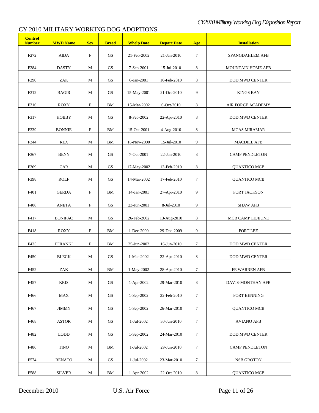| <b>Control</b><br><b>Number</b> | <b>MWD Name</b> | <b>Sex</b>                | <b>Breed</b>           | <b>Whelp Date</b> | <b>Depart Date</b> | Age              | <b>Installation</b>      |
|---------------------------------|-----------------|---------------------------|------------------------|-------------------|--------------------|------------------|--------------------------|
| F <sub>272</sub>                | AIDA            | $\mathbf F$               | GS                     | 21-Feb-2002       | 21-Jan-2010        | 7                | SPANGDAHLEM AFB          |
| F <sub>2</sub> 84               | <b>DASTY</b>    | М                         | GS                     | 7-Sep-2001        | 15-Jul-2010        | 8                | <b>MOUNTAIN HOME AFB</b> |
| F <sub>290</sub>                | ZAK             | М                         | GS                     | 6-Jan-2001        | 10-Feb-2010        | 8                | DOD MWD CENTER           |
| F312                            | <b>BAGIR</b>    | М                         | GS                     | 15-May-2001       | 21-Oct-2010        | 9                | <b>KINGS BAY</b>         |
| F316                            | ROXY            | F                         | BМ                     | 15-Mar-2002       | 6-Oct-2010         | 8                | <b>AIR FORCE ACADEMY</b> |
| F317                            | <b>HOBBY</b>    | М                         | GS                     | 8-Feb-2002        | 22-Apr-2010        | 8                | DOD MWD CENTER           |
| F339                            | <b>BONNIE</b>   | F                         | BМ                     | 15-Oct-2001       | 4-Aug-2010         | 8                | <b>MCAS MIRAMAR</b>      |
| F344                            | <b>REX</b>      | $\mathbf M$               | BM                     | 16-Nov-2000       | 15-Jul-2010        | 9                | <b>MACDILL AFB</b>       |
| F367                            | <b>BENY</b>     | $\mathbf M$               | <b>GS</b>              | 7-Oct-2001        | 22-Jan-2010        | 8                | <b>CAMP PENDLETON</b>    |
| F369                            | <b>CAR</b>      | М                         | GS                     | 17-May-2002       | 13-Feb-2010        | 8                | <b>QUANTICO MCB</b>      |
| F398                            | ROLF            | М                         | $\operatorname{GS}$    | 14-Mar-2002       | 17-Feb-2010        | $\tau$           | QUANTICO MCB             |
| F401                            | <b>GERDA</b>    | ${\bf F}$                 | BM                     | 14-Jan-2001       | 27-Apr-2010        | 9                |                          |
|                                 |                 |                           |                        |                   |                    |                  | FORT JACKSON             |
| F408                            | <b>ANETA</b>    | F                         | GS                     | 23-Jun-2001       | 8-Jul-2010         | 9                | <b>SHAW AFB</b>          |
| F417                            | <b>BONIFAC</b>  | М                         | GS                     | 26-Feb-2002       | 13-Aug-2010        | 8                | MCB CAMP LEJEUNE         |
| F418                            | ROXY            | F                         | BМ                     | 1-Dec-2000        | 29-Dec-2009        | 9                | <b>FORT LEE</b>          |
| F435                            | <b>FFRANKI</b>  | $\boldsymbol{\mathrm{F}}$ | BM                     | 25-Jun-2002       | $16$ -Jun-2010     | $\tau$           | <b>DOD MWD CENTER</b>    |
| F450                            | <b>BLECK</b>    | М                         | GS                     | 1-Mar-2002        | $22-Apr-2010$      | 8                | <b>DOD MWD CENTER</b>    |
| F452                            | ZAK             | $\mathbf M$               | ${\bf BM}$             | 1-May-2002        | 28-Apr-2010        | $\boldsymbol{7}$ | FE WARREN AFB            |
| F457                            | <b>KRIS</b>     | $\mathbf M$               | $\operatorname{GS}$    | 1-Apr-2002        | 29-Mar-2010        | $\,8\,$          | DAVIS-MONTHAN AFB        |
| F466                            | MAX             | $\mathbf M$               | $\operatorname{GS}$    | 1-Sep-2002        | 22-Feb-2010        | $\tau$           | FORT BENNING             |
| F467                            | <b>JIMMY</b>    | $\mathbf M$               | $\mathbf{G}\mathbf{S}$ | 1-Sep-2002        | 26-Mar-2010        | $\tau$           | <b>QUANTICO MCB</b>      |
| F468                            | <b>ASTOR</b>    | $\mathbf M$               | $\mathbf{G}\mathbf{S}$ | 1-Jul-2002        | 30-Jun-2010        | $\tau$           | <b>AVIANO AFB</b>        |
| F482                            | <b>LODD</b>     | M                         | GS                     | 1-Sep-2002        | 24-Mar-2010        | $\tau$           | DOD MWD CENTER           |
|                                 |                 |                           |                        |                   |                    |                  |                          |
| F486                            | <b>TINO</b>     | $\mathbf M$               | BM                     | 1-Jul-2002        | 29-Jun-2010        | $\tau$           | <b>CAMP PENDLETON</b>    |
| F574                            | <b>RENATO</b>   | M                         | GS                     | 1-Jul-2002        | 23-Mar-2010        | $7\phantom{.0}$  | NSB GROTON               |
| F588                            | <b>SILVER</b>   | $\mathbf M$               | BM                     | 1-Apr-2002        | 22-Oct-2010        | $\,8\,$          | <b>QUANTICO MCB</b>      |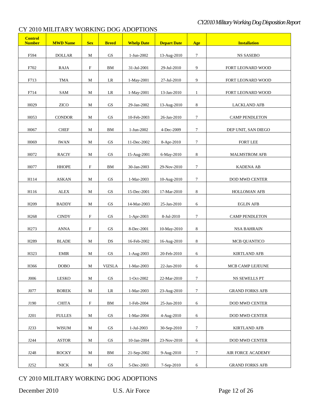| <b>Control</b><br><b>Number</b> | <b>MWD Name</b>             | <b>Sex</b>                | <b>Breed</b>           | <b>Whelp Date</b>         | <b>Depart Date</b>        | Age             | <b>Installation</b>                         |
|---------------------------------|-----------------------------|---------------------------|------------------------|---------------------------|---------------------------|-----------------|---------------------------------------------|
| F594                            | <b>DOLLAR</b>               | М                         | GS                     | 1-Jun-2002                | 13-Aug-2010               | 7               | <b>NS SASEBO</b>                            |
| F702                            | RAJA                        | $\boldsymbol{\mathrm{F}}$ | BМ                     | 31-Jul-2001               | 29-Jul-2010               | 9               | FORT LEONARD WOOD                           |
| F713                            | TMA                         | М                         | LR                     | 1-May-2001                | 27-Jul-2010               | 9               | FORT LEONARD WOOD                           |
| F714                            | SAM                         | М                         | LR                     | 1-May-2001                | 13-Jan-2010               | $\mathbf{1}$    | FORT LEONARD WOOD                           |
| H <sub>029</sub>                | <b>ZICO</b>                 | M                         | GS                     | 29-Jan-2002               | 13-Aug-2010               | 8               | <b>LACKLAND AFB</b>                         |
| H053                            | <b>CONDOR</b>               | M                         | $\mathbf{G}\mathbf{S}$ | 10-Feb-2003               | 26-Jan-2010               | $\tau$          | <b>CAMP PENDLETON</b>                       |
| H067                            | <b>CHEF</b>                 | $\mathbf M$               | ${\rm BM}$             | 1-Jun-2002                | 4-Dec-2009                | 7               | DEP UNIT, SAN DIEGO                         |
| H <sub>069</sub>                | <b>IWAN</b>                 | $\mathbf M$               | GS                     | 11-Dec-2002               | 8-Apr-2010                | 7               | <b>FORT LEE</b>                             |
| H072                            | <b>RACIY</b>                | $\mathbf M$               | $\operatorname{GS}$    | 15-Aug-2001               | 6-May-2010                | 8               | <b>MALMSTROM AFB</b>                        |
| H <sub>077</sub>                | <b>HHOPE</b>                | $\boldsymbol{\mathrm{F}}$ | ${\bf BM}$             | 30-Jan-2003               | 29-Nov-2010               | $\tau$          | <b>KADENA AB</b>                            |
| H114                            | <b>ASKAN</b>                | M                         | GS                     | 1-Mar-2003                | 10-Aug-2010               | $\tau$          | <b>DOD MWD CENTER</b>                       |
| H116                            | <b>ALEX</b>                 | М                         | $\operatorname{GS}$    | 15-Dec-2001               | 17-Mar-2010               | 8               | HOLLOMAN AFB                                |
| H <sub>209</sub>                | <b>BADDY</b>                | $\mathbf M$               | $\operatorname{GS}$    | 14-Mar-2003               | $25$ -Jan-2010 $\,$       | 6               | <b>EGLIN AFB</b>                            |
| H <sub>268</sub>                | <b>CINDY</b>                | $\boldsymbol{\mathrm{F}}$ | $\operatorname{GS}$    | 1-Apr-2003                | 8-Jul-2010                | $\tau$          | <b>CAMP PENDLETON</b>                       |
| H <sub>273</sub>                | <b>ANNA</b>                 | $\boldsymbol{\mathrm{F}}$ | $\operatorname{GS}$    | 8-Dec-2001                | 10-May-2010               | 8               | <b>NSA BAHRAIN</b>                          |
| H <sub>289</sub>                | <b>BLADE</b>                | М                         | DS                     | 16-Feb-2002               | 16-Aug-2010               | 8               | MCB QUANTICO                                |
| H323                            | <b>EMIR</b>                 | M                         | $\operatorname{GS}$    | 1-Aug-2003                | 20-Feb-2010               | 6               | <b>KIRTLAND AFB</b>                         |
| H366                            | $\rm{DOBO}$                 | М                         | <b>VIZSLA</b>          | 1-Mar-2003                | 22-Jan-2010               | 6               | MCB CAMP LEJEUNE                            |
| J006                            | <b>LESKO</b>                | $\mathbf M$               | GS                     | 1-Oct-2002                | 22-Mar-2010               | $7\phantom{.0}$ | NS SEWELLS PT                               |
| J077                            | <b>BOREK</b>                | $\mathbf M$               | LR                     | 1-Mar-2003                | 23-Aug-2010               | $\tau$          | <b>GRAND FORKS AFB</b>                      |
| J190                            | <b>CHITA</b>                | $\mathbf F$               | BM                     | 1-Feb-2004                | 25-Jun-2010               | 6               | <b>DOD MWD CENTER</b>                       |
|                                 |                             |                           |                        |                           |                           |                 |                                             |
| J201                            | <b>FULLES</b>               | M                         | GS                     | 1-Mar-2004                | 4-Aug-2010<br>30-Sep-2010 | 6<br>$\tau$     | DOD MWD CENTER                              |
| J233                            | <b>WISUM</b>                | M                         | GS                     | 1-Jul-2003                |                           |                 | <b>KIRTLAND AFB</b>                         |
| J244                            | <b>ASTOR</b>                | М                         | GS                     | 10-Jan-2004               | 23-Nov-2010               | 6               | <b>DOD MWD CENTER</b>                       |
| J248<br>J252                    | <b>ROCKY</b><br><b>NICK</b> | М<br>M                    | BM<br>GS               | 21-Sep-2002<br>5-Dec-2003 | 9-Aug-2010<br>7-Sep-2010  | 7<br>6          | AIR FORCE ACADEMY<br><b>GRAND FORKS AFB</b> |

# CY 2010 MILITARY WORKING DOG ADOPTIONS

December 2010 U.S. Air Force Page 12 of 26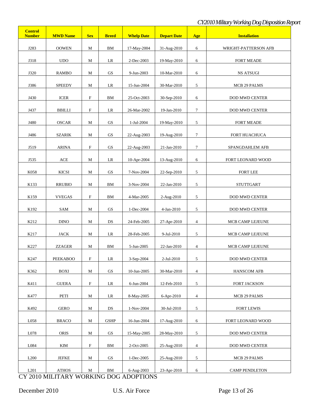| <b>Control</b><br><b>Number</b> | <b>MWD Name</b> | <b>Sex</b>                | <b>Breed</b>           | <b>Whelp Date</b> | <b>Depart Date</b> | Age            | <b>Installation</b>   |
|---------------------------------|-----------------|---------------------------|------------------------|-------------------|--------------------|----------------|-----------------------|
| J283                            | <b>OOWEN</b>    | $\mathbf M$               | ${\rm BM}$             | 17-May-2004       | 31-Aug-2010        | 6              | WRIGHT-PATTERSON AFB  |
| J318                            | <b>UDO</b>      | $\mathbf M$               | LR                     | 2-Dec-2003        | 19-May-2010        | 6              | FORT MEADE            |
| J320                            | <b>RAMBO</b>    | $\mathbf M$               | $\operatorname{GS}$    | 9-Jun-2003        | 10-Mar-2010        | 6              | <b>NS ATSUGI</b>      |
| J386                            | <b>SPEEDY</b>   | $\mathbf M$               | LR                     | 15-Jun-2004       | 30-Mar-2010        | 5              | MCB 29 PALMS          |
| J430                            | <b>ICER</b>     | $\mathbf F$               | ${\rm BM}$             | 25-Oct-2003       | 30-Sep-2010        | 6              | DOD MWD CENTER        |
| J437                            | <b>BBILLI</b>   | $\mathbf F$               | LR                     | 26-Mar-2002       | 19-Jan-2010        | $\tau$         | <b>DOD MWD CENTER</b> |
| J480                            | <b>OSCAR</b>    | М                         | GS                     | 1-Jul-2004        | 19-May-2010        | 5              | FORT MEADE            |
| J486                            | <b>SZARIK</b>   | M                         | GS                     | 22-Aug-2003       | 19-Aug-2010        | $\tau$         | FORT HUACHUCA         |
| J519                            | <b>ARINA</b>    | $\mathbf F$               | GS                     | 22-Aug-2003       | 21-Jan-2010        | $\tau$         | SPANGDAHLEM AFB       |
| J535                            | $\rm{ACE}$      | М                         | LR                     | 10-Apr-2004       | 13-Aug-2010        | 6              | FORT LEONARD WOOD     |
| K058                            | <b>KICSI</b>    | М                         | GS                     | 7-Nov-2004        | 22-Sep-2010        | 5              | <b>FORT LEE</b>       |
| K133                            | <b>RRUBIO</b>   | М                         | ${\rm BM}$             | 3-Nov-2004        | 22-Jan-2010        | 5              | <b>STUTTGART</b>      |
| K159                            | <b>VVEGAS</b>   | $\boldsymbol{\mathrm{F}}$ | ${\rm BM}$             | 4-Mar-2005        | 2-Aug-2010         | 5              | DOD MWD CENTER        |
|                                 |                 | $\mathbf M$               | GS                     |                   |                    |                |                       |
| K192                            | SAM             |                           |                        | 1-Dec-2004        | 4-Jan-2010         | 5              | DOD MWD CENTER        |
| K212                            | <b>DINO</b>     | М                         | DS                     | 24-Feb-2005       | 27-Apr-2010        | 4              | MCB CAMP LEJEUNE      |
| K217                            | JACK            | $\mathbf M$               | LR                     | 28-Feb-2005       | 9-Jul-2010         | 5              | MCB CAMP LEJEUNE      |
| K227                            | <b>ZZAGER</b>   | $\mathbf M$               | ${\rm BM}$             | 5-Jun-2005        | 22-Jan-2010        | 4              | MCB CAMP LEJEUNE      |
| K247                            | <b>PEEKABOO</b> | $\mathbf{F}$              | LR                     | 3-Sep-2004        | 2-Jul-2010         | 5              | DOD MWD CENTER        |
| K362                            | <b>BOXI</b>     | $\mathbf M$               | ${\rm GS}$             | 10-Jun-2005       | 30-Mar-2010        | $\overline{4}$ | <b>HANSCOM AFB</b>    |
| K411                            | <b>GUERA</b>    | $\rm F$                   | $\rm LR$               | 6-Jun-2004        | 12-Feb-2010        | 5              | FORT JACKSON          |
| K477                            | PETI            | M                         | LR                     | 8-May-2005        | 6-Apr-2010         | $\overline{4}$ | MCB 29 PALMS          |
| K492                            | <b>GERO</b>     | M                         | $\mathbf{D}\mathbf{S}$ | 1-Nov-2004        | 30-Jul-2010        | 5              | <b>FORT LEWIS</b>     |
| L058                            | <b>BRACO</b>    | M                         | <b>GSHP</b>            | 16-Jun-2004       | 17-Aug-2010        | 6              | FORT LEONARD WOOD     |
| L078                            | <b>ORIS</b>     | M                         | $\operatorname{GS}$    | 15-May-2005       | 28-May-2010        | 5              | DOD MWD CENTER        |
| L084                            | KIM             | $\mathbf F$               | ${\rm BM}$             | 2-Oct-2005        | 25-Aug-2010        | $\overline{4}$ | <b>DOD MWD CENTER</b> |
| L200                            | <b>JEFKE</b>    | M                         | $\operatorname{GS}$    | 1-Dec-2005        | 25-Aug-2010        | $\mathfrak{S}$ | MCB 29 PALMS          |
| L201                            | <b>ATHOS</b>    | $\mathbf M$               | ${\bf BM}$             | 6-Aug-2003        | 23-Apr-2010        | 6              | <b>CAMP PENDLETON</b> |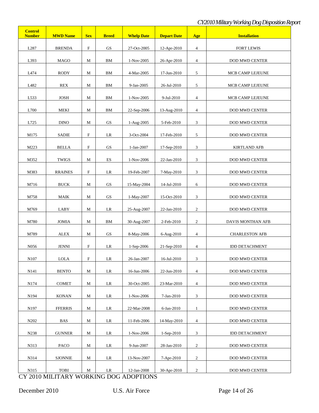| <b>Control</b><br><b>Number</b> | <b>MWD Name</b> | <b>Sex</b>                | <b>Breed</b> | <b>Whelp Date</b> | <b>Depart Date</b> | Age            | <b>Installation</b>   |
|---------------------------------|-----------------|---------------------------|--------------|-------------------|--------------------|----------------|-----------------------|
| L287                            | <b>BRENDA</b>   | $\mathbf F$               | GS           | 27-Oct-2005       | 12-Apr-2010        | $\overline{4}$ | <b>FORT LEWIS</b>     |
| L393                            | <b>MAGO</b>     | M                         | <b>BM</b>    | 1-Nov-2005        | 26-Apr-2010        | $\overline{4}$ | DOD MWD CENTER        |
| L474                            | RODY            | $\mathbf M$               | <b>BM</b>    | 4-Mar-2005        | 17-Jun-2010        | 5              | MCB CAMP LEJEUNE      |
| L482                            | REX             | $\mathbf M$               | BM           | 9-Jan-2005        | 26-Jul-2010        | $\mathfrak{S}$ | MCB CAMP LEJEUNE      |
| L533                            | <b>JOSH</b>     | $\mathbf M$               | <b>BM</b>    | 1-Nov-2005        | 9-Jul-2010         | $\overline{4}$ | MCB CAMP LEJEUNE      |
| L700                            | <b>MEKI</b>     | M                         | BM           | 22-Sep-2006       | 13-Aug-2010        | $\overline{4}$ | DOD MWD CENTER        |
| L725                            | <b>DINO</b>     | M                         | GS           | 1-Aug-2005        | 5-Feb-2010         | 3              | <b>DOD MWD CENTER</b> |
| M175                            | <b>SADIE</b>    | $\mathbf F$               | $\rm LR$     | 3-Oct-2004        | 17-Feb-2010        | 5              | <b>DOD MWD CENTER</b> |
| M223                            | <b>BELLA</b>    | $\mathbf F$               | GS           | 1-Jan-2007        | 17-Sep-2010        | $\mathfrak{Z}$ | <b>KIRTLAND AFB</b>   |
| M352                            | <b>TWIGS</b>    | M                         | ES           | 1-Nov-2006        | 22-Jan-2010        | $\mathfrak{Z}$ | DOD MWD CENTER        |
| M383                            | <b>RRAINES</b>  | $\mathbf F$               | LR           | 19-Feb-2007       | 7-May-2010         | 3              | DOD MWD CENTER        |
| M716                            | <b>BUCK</b>     | M                         | <b>GS</b>    | 15-May-2004       | 14-Jul-2010        | 6              | DOD MWD CENTER        |
| M758                            | <b>MAIK</b>     | M                         | GS           | 1-May-2007        | 15-Oct-2010        | 3              | DOD MWD CENTER        |
| M769                            | LABY            | M                         | LR           | 25-Aug-2007       | 22-Jan-2010        | $\overline{2}$ | DOD MWD CENTER        |
| M780                            | <b>JOMIA</b>    | M                         | <b>BM</b>    | 30-Aug-2007       | 2-Feb-2010         | $\overline{c}$ | DAVIS MONTHAN AFB     |
| M789                            | <b>ALEX</b>     | M                         | <b>GS</b>    | 8-May-2006        | 6-Aug-2010         | $\overline{4}$ | <b>CHARLESTON AFB</b> |
| N <sub>056</sub>                | <b>JENNI</b>    | $\boldsymbol{\mathrm{F}}$ | LR           | 1-Sep-2006        | 21-Sep-2010        | $\overline{4}$ | <b>IDD DETACHMENT</b> |
| N107                            | <b>LOLA</b>     | $\boldsymbol{\mathrm{F}}$ | LR           | 26-Jan-2007       | 16-Jul-2010        | 3              | DOD MWD CENTER        |
| N141                            | <b>BENTO</b>    | $\mathbf M$               | LR           | 16-Jun-2006       | 22-Jun-2010        | 4              | <b>DOD MWD CENTER</b> |
| N174                            | <b>COMET</b>    | M                         | LR           | 30-Oct-2005       | 23-Mar-2010        | 4              | <b>DOD MWD CENTER</b> |
| N194                            | <b>KONAN</b>    | M                         | $\rm LR$     | 1-Nov-2006        | 7-Jan-2010         | 3              | DOD MWD CENTER        |
| N <sub>197</sub>                | <b>FFERRIS</b>  | M                         | LR           | 22-Mar-2008       | 6-Jan-2010         | $\mathbf{1}$   | <b>DOD MWD CENTER</b> |
| N <sub>2</sub> 0 <sub>2</sub>   | BAS             | M                         | LR           | 11-Feb-2006       | 14-May-2010        | $\overline{4}$ | DOD MWD CENTER        |
| N238                            | <b>GUNNER</b>   | М                         | LR           | 1-Nov-2006        | 1-Sep-2010         | 3              | <b>IDD DETACHMENT</b> |
| N313                            | PACO            | $\mathbf M$               | $\rm LR$     | 9-Jun-2007        | 28-Jan-2010        | $\overline{c}$ | DOD MWD CENTER        |
| N314                            | <b>SJONNIE</b>  | $\mathbf M$               | LR           | 13-Nov-2007       | 7-Apr-2010         | $\overline{c}$ | <b>DOD MWD CENTER</b> |
| N315                            | <b>TOBI</b>     | M                         | LR           | 12-Jan-2008       | 30-Apr-2010        | $\overline{c}$ | <b>DOD MWD CENTER</b> |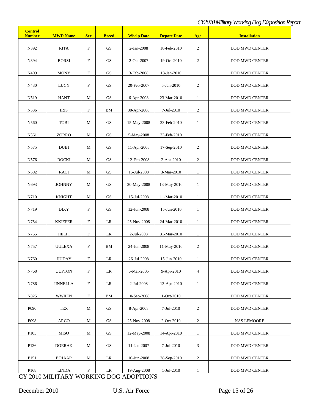| <b>Control</b><br><b>Number</b> | <b>MWD Name</b>       | <b>Sex</b>                | <b>Breed</b>           | <b>Whelp Date</b> | <b>Depart Date</b> | Age            | <b>Installation</b>   |
|---------------------------------|-----------------------|---------------------------|------------------------|-------------------|--------------------|----------------|-----------------------|
| N392                            | $\operatorname{RITA}$ | $\mathbf F$               | <b>GS</b>              | 2-Jan-2008        | 18-Feb-2010        | $\overline{c}$ | <b>DOD MWD CENTER</b> |
| N394                            | <b>BORSI</b>          | $\mathbf F$               | <b>GS</b>              | 2-Oct-2007        | 19-Oct-2010        | $\overline{c}$ | <b>DOD MWD CENTER</b> |
| N409                            | <b>MONY</b>           | $\mathbf F$               | <b>GS</b>              | 3-Feb-2008        | 13-Jan-2010        | $\mathbf{1}$   | DOD MWD CENTER        |
| N430                            | LUCY                  | $\mathbf F$               | <b>GS</b>              | 20-Feb-2007       | 5-Jan-2010         | $\overline{2}$ | <b>DOD MWD CENTER</b> |
| N519                            | <b>HANT</b>           | M                         | <b>GS</b>              | 6-Apr-2008        | 23-Mar-2010        | $\mathbf{1}$   | DOD MWD CENTER        |
| N536                            | <b>IRIS</b>           | $\mathbf F$               | <b>BM</b>              | 30-Apr-2008       | 7-Jul-2010         | $\overline{2}$ | <b>DOD MWD CENTER</b> |
| N560                            | <b>TOBI</b>           | M                         | <b>GS</b>              | 15-May-2008       | 23-Feb-2010        | $\mathbf{1}$   | DOD MWD CENTER        |
| N561                            | ZORRO                 | M                         | <b>GS</b>              | 5-May-2008        | 23-Feb-2010        | $\mathbf{1}$   | <b>DOD MWD CENTER</b> |
| N575                            | <b>DUBI</b>           | M                         | GS                     | 11-Apr-2008       | 17-Sep-2010        | $\overline{2}$ | DOD MWD CENTER        |
| N576                            | <b>ROCKI</b>          | M                         | <b>GS</b>              | 12-Feb-2008       | 2-Apr-2010         | $\overline{c}$ | <b>DOD MWD CENTER</b> |
| N692                            | RACI                  | M                         | <b>GS</b>              | 15-Jul-2008       | 3-Mar-2010         | $\mathbf{1}$   | <b>DOD MWD CENTER</b> |
| N693                            | <b>JOHNNY</b>         | M                         | <b>GS</b>              | 20-May-2008       | 13-May-2010        | $\mathbf{1}$   | DOD MWD CENTER        |
| N710                            | <b>KNIGHT</b>         | M                         | <b>GS</b>              | 15-Jul-2008       | 11-Mar-2010        | $\mathbf{1}$   | <b>DOD MWD CENTER</b> |
| N719                            | <b>DIXY</b>           | $\boldsymbol{\mathrm{F}}$ | <b>GS</b>              | 12-Jun-2008       | 15-Jun-2010        | $\mathbf{1}$   | <b>DOD MWD CENTER</b> |
| N754                            | <b>KKIEFER</b>        | $\mathbf F$               | LR                     | 25-Nov-2008       | 24-Mar-2010        | $\mathbf{1}$   | DOD MWD CENTER        |
| N755                            | <b>IIELPI</b>         | $\mathbf F$               | LR                     | 2-Jul-2008        | 31-Mar-2010        | $\mathbf{1}$   | DOD MWD CENTER        |
| N757                            | <b>UULEXA</b>         | $\mathbf F$               | <b>BM</b>              | 24-Jun-2008       | 11-May-2010        | $\overline{c}$ | DOD MWD CENTER        |
| N760                            | <b>JJUDAY</b>         | $\mathbf F$               | LR                     | 26-Jul-2008       | 15-Jun-2010        | $\mathbf{1}$   | <b>DOD MWD CENTER</b> |
| N768                            | <b>UUPTON</b>         | $\mathbf F$               | $\rm LR$               | 6-Mar-2005        | 9-Apr-2010         | $\overline{4}$ | <b>DOD MWD CENTER</b> |
| N786                            | <b>IINNELLA</b>       | $\mathbf F$               | LR                     | 2-Jul-2008        | 13-Apr-2010        | $\mathbf{1}$   | <b>DOD MWD CENTER</b> |
| N825                            | <b>WWREN</b>          | $\mathbf F$               | ${\rm BM}$             | 10-Sep-2008       | 1-Oct-2010         | $\mathbf{1}$   | DOD MWD CENTER        |
| P <sub>090</sub>                | <b>TEX</b>            | $\mathbf M$               | $\mathbf{G}\mathbf{S}$ | 8-Apr-2008        | 7-Jul-2010         | $\overline{c}$ | <b>DOD MWD CENTER</b> |
| P098                            | <b>ARCO</b>           | $\mathbf M$               | $\mathbf{G}\mathbf{S}$ | 25-Nov-2008       | 2-Oct-2010         | $\mathbf{2}$   | <b>NAS LEMOORE</b>    |
| P105                            | <b>MISO</b>           | $\mathbf M$               | $\mathbf{G}\mathbf{S}$ | 12-May-2008       | 14-Apr-2010        | $\mathbf{1}$   | <b>DOD MWD CENTER</b> |
| P136                            | <b>DOERAK</b>         | M                         | $\mathbf{G}\mathbf{S}$ | 11-Jan-2007       | 7-Jul-2010         | $\mathfrak{Z}$ | <b>DOD MWD CENTER</b> |
| P151                            | <b>BOJAAR</b>         | M                         | LR                     | 10-Jun-2008       | 28-Sep-2010        | $\mathbf{2}$   | <b>DOD MWD CENTER</b> |
| P168                            | <b>LINDA</b>          | $\mathbf F$               | LR                     | 19-Aug-2008       | 1-Jul-2010         | $\mathbf{1}$   | DOD MWD CENTER        |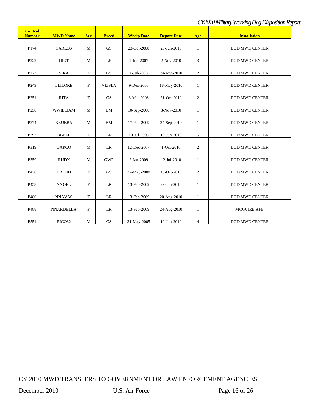| <b>Control</b><br><b>Number</b> | <b>MWD Name</b>       | <b>Sex</b>                | <b>Breed</b>  | <b>Whelp Date</b> | <b>Depart Date</b> | Age            | <b>Installation</b>   |
|---------------------------------|-----------------------|---------------------------|---------------|-------------------|--------------------|----------------|-----------------------|
|                                 |                       |                           |               |                   |                    |                |                       |
| P174                            | <b>CARLOS</b>         | M                         | <b>GS</b>     | 23-Oct-2008       | 28-Jun-2010        | $\mathbf{1}$   | <b>DOD MWD CENTER</b> |
| P222                            | <b>DIRT</b>           | M                         | LR            | 1-Jun-2007        | 2-Nov-2010         | 3              | <b>DOD MWD CENTER</b> |
| P223                            | <b>SIRA</b>           | $\mathbf F$               | <b>GS</b>     | 1-Jul-2008        | 24-Aug-2010        | $\overline{c}$ | <b>DOD MWD CENTER</b> |
| P <sub>249</sub>                | <b>LLILORE</b>        | $\boldsymbol{\mathrm{F}}$ | <b>VIZSLA</b> | 9-Dec-2008        | 18-May-2010        | $\mathbf{1}$   | <b>DOD MWD CENTER</b> |
| P251                            | $\operatorname{RITA}$ | $\boldsymbol{\mathrm{F}}$ | <b>GS</b>     | 3-Mar-2008        | 21-Oct-2010        | $\sqrt{2}$     | DOD MWD CENTER        |
| P <sub>256</sub>                | <b>WWILLIAM</b>       | M                         | BM            | 10-Sep-2008       | 8-Nov-2010         | $\mathbf{1}$   | DOD MWD CENTER        |
| P274                            | <b>BBUBBA</b>         | $\mathbf M$               | <b>BM</b>     | 17-Feb-2009       | 24-Sep-2010        | $\mathbf{1}$   | DOD MWD CENTER        |
| P <sub>297</sub>                | <b>BBELL</b>          | $\mathbf F$               | LR            | 10-Jul-2005       | 18-Jun-2010        | 5              | <b>DOD MWD CENTER</b> |
| P319                            | <b>DARCO</b>          | M                         | LR            | 12-Dec-2007       | 1-Oct-2010         | $\mathbf{2}$   | <b>DOD MWD CENTER</b> |
| P359                            | <b>RUDY</b>           | M                         | <b>GWP</b>    | 2-Jan-2009        | 12-Jul-2010        | $\mathbf{1}$   | <b>DOD MWD CENTER</b> |
| P436                            | <b>BRIGID</b>         | $\mathbf F$               | <b>GS</b>     | 22-May-2008       | 13-Oct-2010        | 2              | <b>DOD MWD CENTER</b> |
| P458                            | <b>NNOEL</b>          | $\mathbf F$               | LR            | 13-Feb-2009       | 29-Jun-2010        | $\mathbf{1}$   | <b>DOD MWD CENTER</b> |
| P486                            | <b>NNAVAS</b>         | $\mathbf F$               | LR            | 13-Feb-2009       | 20-Aug-2010        | $\mathbf{1}$   | DOD MWD CENTER        |
| P488                            | <b>NNARDELLA</b>      | $\mathbf F$               | LR            | 13-Feb-2009       | 24-Aug-2010        | $\mathbf{1}$   | <b>MCGUIRE AFB</b>    |
| P551                            | RICO32                | M                         | GS            | 31-May-2005       | 19-Jun-2010        | $\overline{4}$ | <b>DOD MWD CENTER</b> |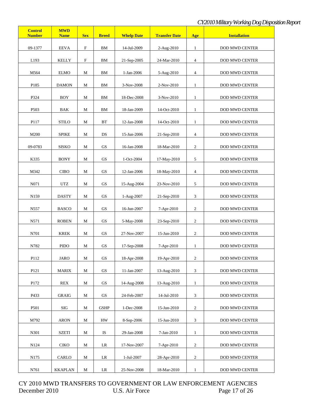| <b>Control</b><br><b>Number</b> | <b>MWD</b><br><b>Name</b> | <b>Sex</b>                | <b>Breed</b>        | <b>Whelp Date</b> | <b>Transfer Date</b> | Age                      | <b>Installation</b>   |
|---------------------------------|---------------------------|---------------------------|---------------------|-------------------|----------------------|--------------------------|-----------------------|
| 09-1377                         | <b>EEVA</b>               | $\boldsymbol{\mathrm{F}}$ | $\mathbf{BM}$       | 14-Jul-2009       | 2-Aug-2010           | $\mathbf{1}$             | <b>DOD MWD CENTER</b> |
| L193                            | <b>KELLY</b>              | $\boldsymbol{\mathrm{F}}$ | BM                  | 21-Sep-2005       | 24-Mar-2010          | $\overline{\mathcal{L}}$ | <b>DOD MWD CENTER</b> |
| M564                            | <b>ELMO</b>               | М                         | $\mathbf{BM}$       | 1-Jan-2006        | 5-Aug-2010           | $\overline{\mathcal{L}}$ | <b>DOD MWD CENTER</b> |
| P185                            | <b>DAMON</b>              | М                         | BM                  | 3-Nov-2008        | 2-Nov-2010           | 1                        | <b>DOD MWD CENTER</b> |
| P324                            | <b>BOY</b>                | M                         | ${\rm BM}$          | 18-Dec-2008       | 3-Nov-2010           | -1                       | DOD MWD CENTER        |
| P <sub>503</sub>                | BAK                       | M                         | BM                  | 18-Jan-2009       | 14-Oct-2010          | $\mathbf{1}$             | DOD MWD CENTER        |
| P117                            | <b>STILO</b>              | М                         | <b>BT</b>           | 12-Jan-2008       | 14-Oct-2010          | $\mathbf{1}$             | DOD MWD CENTER        |
| M200                            | <b>SPIKE</b>              | M                         | DS                  | 15-Jun-2006       | 21-Sep-2010          | 4                        | <b>DOD MWD CENTER</b> |
| 09-0783                         | <b>SISKO</b>              | M                         | GS                  | 16-Jan-2008       | 18-Mar-2010          | $\overline{c}$           | <b>DOD MWD CENTER</b> |
| K335                            | <b>BONY</b>               | M                         | GS                  | 1-Oct-2004        | 17-May-2010          | 5                        | <b>DOD MWD CENTER</b> |
| M342                            | <b>CIBO</b>               | M                         | GS                  | 12-Jan-2006       | 18-May-2010          | 4                        | <b>DOD MWD CENTER</b> |
| N071                            | UTZ                       | M                         | GS                  | 15-Aug-2004       | 23-Nov-2010          | 5                        | DOD MWD CENTER        |
| N <sub>159</sub>                | <b>DASTY</b>              | М                         | GS                  | 1-Aug-2007        | 21-Sep-2010          | 3                        | DOD MWD CENTER        |
| N557                            | <b>BASCO</b>              | М                         | GS                  | 16-Jun-2007       | 7-Apr-2010           | $\sqrt{2}$               | DOD MWD CENTER        |
| N571                            | <b>ROBEN</b>              | М                         | GS                  | 5-May-2008        | 23-Sep-2010          | $\overline{c}$           | DOD MWD CENTER        |
| N701                            | <b>KREK</b>               | М                         | <b>GS</b>           | 27-Nov-2007       | 15-Jun-2010          | $\mathfrak{2}$           | <b>DOD MWD CENTER</b> |
| N782                            | <b>PIDO</b>               | M                         | <b>GS</b>           | 17-Sep-2008       | 7-Apr-2010           | $\mathbf{1}$             | <b>DOD MWD CENTER</b> |
| P112                            | <b>JARO</b>               | М                         | GS                  | 18-Apr-2008       | 19-Apr-2010          | $\sqrt{2}$               | DOD MWD CENTER        |
| P121                            | <b>MARIX</b>              | $\mathbf M$               | <b>GS</b>           | 11-Jan-2007       | 13-Aug-2010          | $\mathfrak{Z}$           | <b>DOD MWD CENTER</b> |
| P172                            | <b>REX</b>                | $\mathbf M$               | $\operatorname{GS}$ | 14-Aug-2008       | 13-Aug-2010          | $\mathbf{1}$             | <b>DOD MWD CENTER</b> |
| P433                            | <b>GRAIG</b>              | $\mathbf M$               | $\operatorname{GS}$ | 24-Feb-2007       | 14-Jul-2010          | $\mathfrak{Z}$           | <b>DOD MWD CENTER</b> |
| P501                            | SIG                       | $\mathbf M$               | <b>GSHP</b>         | 1-Dec-2008        | 15-Jun-2010          | $\sqrt{2}$               | <b>DOD MWD CENTER</b> |
| M792                            | <b>ARON</b>               | $\mathbf M$               | ${\rm HW}$          | 8-Sep-2006        | 15-Jun-2010          | $\mathfrak{Z}$           | <b>DOD MWD CENTER</b> |
| N301                            | <b>SZETI</b>              | $\mathbf M$               | <b>IS</b>           | 29-Jan-2008       | $7-Jan-2010$         | $\mathbf{1}$             | <b>DOD MWD CENTER</b> |
| N124                            | <b>CIKO</b>               | $\mathbf M$               | $\rm LR$            | 17-Nov-2007       | 7-Apr-2010           | $\sqrt{2}$               | <b>DOD MWD CENTER</b> |
| N175                            | CARLO                     | М                         | $\rm LR$            | 1-Jul-2007        | 28-Apr-2010          | $\sqrt{2}$               | <b>DOD MWD CENTER</b> |
| N761                            | <b>KKAPLAN</b>            | $\mathbf M$               | LR                  | 25-Nov-2008       | 18-Mar-2010          | $\mathbf{1}$             | <b>DOD MWD CENTER</b> |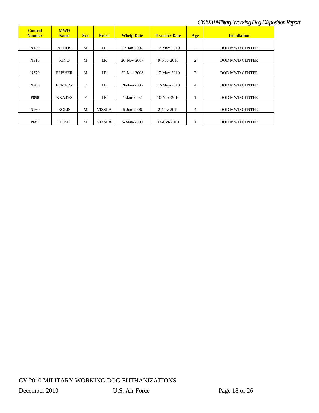| <b>Control</b><br><b>Number</b> | <b>MWD</b><br><b>Name</b> | <b>Sex</b> | <b>Breed</b>  | <b>Whelp Date</b> | <b>Transfer Date</b> | Age            | <b>Installation</b>   |
|---------------------------------|---------------------------|------------|---------------|-------------------|----------------------|----------------|-----------------------|
|                                 |                           |            |               |                   |                      |                |                       |
| N139                            | <b>ATHOS</b>              | M          | LR            | 17-Jan-2007       | 17-May-2010          | 3              | <b>DOD MWD CENTER</b> |
| N316                            | <b>KINO</b>               | M          | LR            | 26-Nov-2007       | 9-Nov-2010           | 2              | <b>DOD MWD CENTER</b> |
| N370                            | <b>FFISHER</b>            | M          | LR            | 22-Mar-2008       | 17-May-2010          | $\overline{c}$ | <b>DOD MWD CENTER</b> |
| N785                            | <b>EEMERY</b>             | F          | LR            | 26-Jan-2006       | 17-May-2010          | $\overline{4}$ | <b>DOD MWD CENTER</b> |
| P <sub>098</sub>                | <b>KKATES</b>             | F          | LR            | 1-Jan-2002        | $10-Nov-2010$        |                | <b>DOD MWD CENTER</b> |
| N <sub>260</sub>                | <b>BORIS</b>              | M          | <b>VIZSLA</b> | 6-Jun-2006        | $2-Nov-2010$         | 4              | <b>DOD MWD CENTER</b> |
| P681                            | TOMI                      | M          | <b>VIZSLA</b> | 5-May-2009        | 14-Oct-2010          |                | <b>DOD MWD CENTER</b> |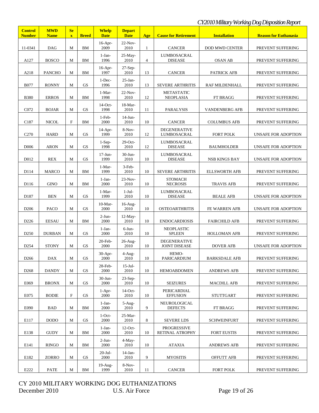## *CY2010Military Working Dog Disposition Report*

| <b>Control</b><br><b>Number</b> | <b>MWD</b><br><b>Name</b> | <b>Se</b><br>$\mathbf{X}$ | <b>Breed</b> | <b>Whelp</b><br><b>Date</b> | <b>Depart</b><br><b>Date</b> | Age            | <b>Cause for Retirement</b>                 | <b>Installation</b>  | <b>Reason for Euthanasia</b> |
|---------------------------------|---------------------------|---------------------------|--------------|-----------------------------|------------------------------|----------------|---------------------------------------------|----------------------|------------------------------|
|                                 |                           |                           |              | $16-Apr-$                   | $22-Nov-$                    |                |                                             |                      |                              |
| 11-0341                         | <b>DAG</b>                | M                         | <b>BM</b>    | 2009                        | 2010                         | 1              | <b>CANCER</b><br><b>DOD MWD CENTER</b>      |                      | PREVENT SUFFERING            |
| A127                            | <b>BOSCO</b>              | M                         | <b>BM</b>    | 1-Jan-<br>1996              | 25-May-<br>2010              | $\overline{4}$ | LUMBOSACRAL<br><b>DISEASE</b>               | OSAN AB              | PREVENT SUFFERING            |
| A218                            | <b>PANCHO</b>             | M                         | <b>BM</b>    | $16-Apr-$<br>1997           | $27-Sep-$<br>2010            | 13             | <b>CANCER</b>                               | PATRICK AFB          | PREVENT SUFFERING            |
| <b>B077</b>                     | <b>RONNY</b>              | M                         | <b>GS</b>    | $1$ -Dec-<br>1996           | $25-Ian-$<br>2010            | 13             | <b>SEVERE ARTHRITIS</b>                     | RAF MILDENHALL       | PREVENT SUFFERING            |
| <b>B380</b>                     | <b>ERROS</b>              | M                         | <b>BM</b>    | 1-Mar-<br>1998              | $22-Nov-$<br>2010            | 12             | <b>METASTATIC</b><br><b>NEOPLASIA</b>       | FT BRAGG             | PREVENT SUFFERING            |
| C072                            | <b>BOJAR</b>              | M                         | <b>GS</b>    | $14$ -Oct-<br>1998          | 18-Mar-<br>2010              | 11             | PARALYSIS                                   | VANDENBERG AFB       | PREVENT SUFFERING            |
| C187                            | <b>NICOL</b>              | $\mathbf F$               | BM           | $1-Feb-$<br>2000            | $14$ -Jun-<br>2010           | 10             | <b>CANCER</b>                               | <b>COLUMBUS AFB</b>  | PREVENT SUFFERING            |
| C <sub>270</sub>                | <b>HARD</b>               | М                         | <b>GS</b>    | $14$ -Apr-<br>1999          | $8-Nov-$<br>2010             | 12             | <b>DEGENERATIVE</b><br>LUMBOSACRAL          | <b>FORT POLK</b>     | UNSAFE FOR ADOPTION          |
| D <sub>006</sub>                | <b>ARON</b>               | М                         | <b>GS</b>    | $1-Sep-$<br>1998            | $29$ -Oct-<br>2010           | 12             | LUMBOSACRAL<br><b>DISEASE</b>               | <b>BAUMHOLDER</b>    | UNSAFE FOR ADOPTION          |
| D012                            | <b>REX</b>                | М                         | <b>GS</b>    | $17$ -Jun-<br>1999          | 30-Jun-<br>2010              | 10             | <b>LUMBOSACRAL</b><br><b>DISEASE</b>        | <b>NSB KINGS BAY</b> | UNSAFE FOR ADOPTION          |
| D114                            | <b>MARCO</b>              | М                         | <b>BM</b>    | 1-Mar-<br>1999              | 3-Feb-<br>2010               | 10             | <b>SEVERE ARTHRITIS</b>                     | <b>ELLSWORTH AFB</b> | PREVENT SUFFERING            |
| D116                            | <b>GINO</b>               | M                         | <b>BM</b>    | 1-Jan-<br>2000              | $23-Nov-$<br>2010            | 10             | <b>STOMACH</b><br><b>NECROSIS</b>           | <b>TRAVIS AFB</b>    | PREVENT SUFFERING            |
| D187                            | <b>BEN</b>                | M                         | <b>GS</b>    | 1-Mar-<br>1999              | $1-Jul-$<br>2010             | 10             | LUMBOSACRAL<br><b>DISEASE</b>               | <b>BEALE AFB</b>     | UNSAFE FOR ADOPTION          |
| D <sub>206</sub>                | <b>PACO</b>               | M                         | <b>GS</b>    | $10-Mar-$<br>2000           | $16$ -Aug-<br>2010           | 10             | <b>OSTEOARTHRITIS</b>                       | FE WARREN AFB        | UNSAFE FOR ADOPTION          |
| D <sub>226</sub>                | <b>EESAU</b>              | М                         | BM           | $2-J$ un-<br>2000           | $12$ -May-<br>2010           | 10             | <b>ENDOCARDIOSIS</b>                        | <b>FAIRCHILD AFB</b> | PREVENT SUFFERING            |
| D <sub>250</sub>                | <b>DURBAN</b>             | М                         | <b>GS</b>    | 1-Jan-<br>2000              | $6$ -Jun-<br>2010            | 10             | <b>NEOPLASTIC</b><br><b>SPLEEN</b>          | <b>HOLLOMAN AFB</b>  | PREVENT SUFFERING            |
| D <sub>254</sub>                | <b>STONY</b>              | М                         | <b>GS</b>    | 20-Feb-<br>2000             | $26$ -Aug-<br>2010           | 10             | <b>DEGENERATIVE</b><br><b>JOINT DISEASE</b> | <b>DOVER AFB</b>     | UNSAFE FOR ADOPTION          |
| D <sub>266</sub>                | <b>DAX</b>                | $\mathbf M$               | GS           | $30-Apr-$<br>2000           | $4-Aug-$<br>2010             | 10             | HEMO-<br>PARICARDIUM                        | <b>BARKSDALE AFB</b> | PREVENT SUFFERING            |
| D <sub>268</sub>                | <b>DANDY</b>              | М                         | <b>GS</b>    | 28-Feb-<br>2000             | $15$ -Jul-<br>2010           | 10             | <b>HEMOABDOMEN</b>                          | <b>ANDREWS AFB</b>   | PREVENT SUFFERING            |
| E069                            | <b>BRONX</b>              | М                         | GS           | 30-Jun-<br>2000             | $23-Sep-$<br>2010            | 10             | <b>SEIZURES</b>                             | <b>MACDILL AFB</b>   | PREVENT SUFFERING            |
| E075                            | <b>BODIE</b>              | $\mathbf F$               | GS           | $1-Apr-$<br>2000            | $14$ -Oct-<br>2010           | 10             | PERICARDIAL<br><b>EFFUSION</b>              | <b>STUTTGART</b>     | PREVENT SUFFERING            |
| E090                            | <b>BAD</b>                | M                         | BM           | $1-Jan-$<br>2000            | $5-Aug-$<br>2010             | 9              | NEUROLOGICAL<br><b>DEFECTS</b>              | FT BRAGG             | PREVENT SUFFERING            |
| E117                            | <b>DODO</b>               | M                         | <b>GS</b>    | $1$ -Oct-<br>2000           | 25-Mar-<br>2010              | 8              | <b>SEVERE LDS</b>                           | <b>SCHWEINFURT</b>   | PREVENT SUFFERING            |
| E138                            | <b>GUDY</b>               | M                         | <b>BM</b>    | $1-Jan-$<br>2000            | $12$ -Oct-<br>2010           | 10             | <b>PROGRESSIVE</b><br>RETINAL ATROPHY       | <b>FORT EUSTIS</b>   | PREVENT SUFFERING            |
| E141                            | <b>RINGO</b>              | M                         | <b>BM</b>    | $2-Jun-$<br>2000            | 4-May-<br>2010               | 10             | <b>ATAXIA</b>                               | <b>ANDREWS AFB</b>   | PREVENT SUFFERING            |
| E182                            | ZORRO                     | M                         | <b>GS</b>    | $20 -$ Jul $-$<br>2000      | $14$ -Jan-<br>2010           | 9              | <b>MYOSITIS</b>                             | <b>OFFUTT AFB</b>    |                              |
| E222                            | <b>PATE</b>               | $\mathbf M$               | BM           | $19-Aug-$<br>1999           | $8-Nov-$<br>2010             | 11             | <b>CANCER</b>                               | <b>FORT POLK</b>     | PREVENT SUFFERING            |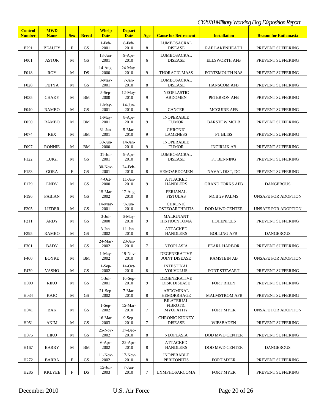## *CY2010Military Working Dog Disposition Report*

| <b>Control</b><br><b>Number</b> | <b>MWD</b><br><b>Name</b> | <b>Sex</b>  | <b>Breed</b> | <b>Whelp</b><br><b>Date</b> | <b>Depart</b><br><b>Date</b> | Age    | <b>Cause for Retirement</b>                             | <b>Installation</b>    | <b>Reason for Euthanasia</b> |
|---------------------------------|---------------------------|-------------|--------------|-----------------------------|------------------------------|--------|---------------------------------------------------------|------------------------|------------------------------|
| E291                            | <b>BEAUTY</b>             | $\mathbf F$ | <b>GS</b>    | 1-Feb-<br>2001              | 8-Feb-<br>2010               | 8      | <b>LUMBOSACRAL</b><br><b>DISEASE</b>                    | <b>RAF LAKENHEATH</b>  | PREVENT SUFFERING            |
| F001                            | <b>ASTOR</b>              | М           | <b>GS</b>    | $13$ -Jun-<br>2001          | 9-Apr-<br>2010               | 6      | <b>LUMBOSACRAL</b><br><b>DISEASE</b>                    | <b>ELLSWORTH AFB</b>   | PREVENT SUFFERING            |
|                                 |                           |             |              | 14-Aug-                     | 24-May-                      |        |                                                         |                        |                              |
| F018                            | <b>ROY</b>                | М           | DS           | 2000                        | 2010                         | 9      | THORACIC MASS                                           | PORTSMOUTH NAS         | PREVENT SUFFERING            |
| F028                            | <b>PETYA</b>              | M           | <b>GS</b>    | $3-May-$<br>2001            | 7-Jan-<br>2010               | 8      | <b>LUMBOSACRAL</b><br><b>DISEASE</b>                    | <b>HANSCOM AFB</b>     | PREVENT SUFFERING            |
| F035                            | <b>CHAKY</b>              | М           | BM           | 5-Sep-<br>2000              | 12-May-<br>2010              | 9      | <b>NEOPLASTIC</b><br><b>ABDOMEN</b>                     | PETERSON AFB           | PREVENT SUFFERING            |
| F040                            | <b>RAMBO</b>              | M           | <b>GS</b>    | $1-May-$<br>2001            | $14$ -Jun-<br>2010           | 9      | <b>CANCER</b>                                           | <b>MCGUIRE AFB</b>     | PREVENT SUFFERING            |
| F <sub>050</sub>                | <b>RAMBO</b>              | М           | BM           | $1-May-$<br>2001            | 8-Apr-<br>2010               | 9      | <b>INOPERABLE</b><br><b>TUMOR</b>                       | <b>BARSTOW MCLB</b>    | PREVENT SUFFERING            |
| F074                            | <b>REX</b>                | М           | BM           | $31-Jan-$<br>2001           | 5-Mar-<br>2010               | 9      | <b>CHRONIC</b><br><b>LAMENESS</b>                       | <b>FT BLISS</b>        | PREVENT SUFFERING            |
| F097                            | <b>RONNIE</b>             | M           | BM           | $30-J$ un-<br>2000          | $14$ -Jan-<br>2010           | 9      | <b>INOPERABLE</b><br><b>TUMOR</b>                       | <b>INCIRLIK AB</b>     | PREVENT SUFFERING            |
| F122                            | <b>LUIGI</b>              | M           | <b>GS</b>    | $31-Jul-$<br>2001           | $9-Apr-$<br>2010             | 8      | LUMBOSACRAL<br><b>DISEASE</b>                           | FT BENNING             | PREVENT SUFFERING            |
| F153                            | <b>GORA</b>               | $\mathbf F$ | <b>GS</b>    | $30-Nov-$<br>2001           | 24-Feb-<br>2010              | 8      | <b>HEMOABDOMEN</b>                                      | NAVAL DIST, DC         | PREVENT SUFFERING            |
| F179                            | <b>ENDY</b>               | М           | <b>GS</b>    | $4$ -Oct-<br>2000           | $11-Jan-$<br>2010            | 9      | <b>ATTACKED</b><br><b>HANDLERS</b>                      | <b>GRAND FORKS AFB</b> | <b>DANGEROUS</b>             |
| F196                            | <b>FABIAN</b>             | M           | <b>GS</b>    | $15-Mar-$<br>2002           | $17-Aug-$<br>2010            | 8      | PERIANAL<br><b>FISTULAS</b>                             | MCB 29 PALMS           | UNSAFE FOR ADOPTION          |
| F <sub>205</sub>                | <b>LIEDER</b>             | М           | <b>GS</b>    | $14$ -May-<br>2001          | $9-J$ un-<br>2010            | 9      | <b>CHRONIC</b><br><b>OSTEOARTHRITIS</b>                 | <b>DOD MWD CENTER</b>  | UNSAFE FOR ADOPTION          |
| F211                            | <b>ARDY</b>               | М           | <b>GS</b>    | $3-Jul-$<br>2000            | 6-May-<br>2010               | 9      | <b>MALIGNANT</b><br><b>HISTIOCYTOMA</b>                 | <b>HOHENFELS</b>       | PREVENT SUFFERING            |
| F <sub>295</sub>                | <b>RAMBO</b>              | M           | <b>GS</b>    | $3-Jan-$<br>2002            | $11-Jan-$<br>2010            | 8      | <b>ATTACKED</b><br><b>HANDLERS</b>                      | <b>BOLLING AFB</b>     | <b>DANGEROUS</b>             |
| F301                            | <b>BADY</b>               | М           | <b>GS</b>    | 24-Mar-<br>2002             | $23$ -Jan-<br>2010           | $\tau$ | <b>NEOPLASIA</b>                                        | PEARL HARBOR           | PREVENT SUFFERING            |
| F460                            | <b>BOYKE</b>              | $\mathbf M$ | BМ           | $1-May-$<br>2002            | $19-Nov-$<br>2010            | 8      | <b>DEGENERATIVE</b><br>JOINT DISEASE                    | <b>RAMSTEIN AB</b>     | UNSAFE FOR ADOPTION          |
| F479                            | <b>VASHO</b>              | М           | <b>GS</b>    | $1-Sep-$<br>2002            | $14$ -Oct-<br>2010           | 8      | <b>INTESTINAL</b><br><b>VOLVULUS</b>                    | <b>FORT STEWART</b>    | PREVENT SUFFERING            |
| H <sub>0</sub> 00               | <b>RIKO</b>               | $\mathbf M$ | GS           | $1-Jul-$<br>2001            | $16-Sep-$<br>2010            | 9      | <b>DEGENERATIVE</b><br><b>DISK DISEASE</b>              | <b>FORT RILEY</b>      | PREVENT SUFFERING            |
| H034                            | <b>KAJO</b>               | М           | GS           | $21-Sep-$<br>2002           | 7-Mar-<br>2010               | 8      | <b>ABDOMINAL</b><br><b>HEMORRHAGE</b>                   | <b>MALMSTROM AFB</b>   | PREVENT SUFFERING            |
| H041                            | BAK                       | М           | <b>GS</b>    | $1-Sep-$<br>2002            | $15-Mar-$<br>2010            | $\tau$ | <b>BILATERIAL</b><br><b>FIBROTIC</b><br><b>MYOPATHY</b> | <b>FORT MYER</b>       | UNSAFE FOR ADOPTION          |
| H <sub>051</sub>                | <b>AKIM</b>               | М           | GS           | 16-Mar-<br>2003             | $9-Sep-$<br>2010             | $\tau$ | <b>CHRONIC KIDNEY</b><br><b>DISEASE</b>                 | <b>WIESBADEN</b>       | PREVENT SUFFERING            |
| H075                            | <b>EIKO</b>               | М           | GS           | $25-Nov-$<br>2002           | $17$ -Dec-<br>2010           | 8      | <b>NEOPLASIA</b>                                        | <b>DOD MWD CENTER</b>  | PREVENT SUFFERING            |
| H167                            | <b>BARRY</b>              | М           | BM           | 6-Apr-<br>2002              | $22-Apr-$<br>2010            | 8      | <b>ATTACKED</b><br><b>HANDLERS</b>                      | <b>DOD MWD CENTER</b>  | <b>DANGEROUS</b>             |
| H <sub>272</sub>                | <b>BARRA</b>              | $\mathbf F$ | GS           | $11-Nov-$<br>2002           | $17-Nov-$<br>2010            | 8      | <b>INOPERABLE</b><br><b>PERITONITIS</b>                 | <b>FORT MYER</b>       | PREVENT SUFFERING            |
| H <sub>286</sub>                | <b>KKLYEE</b>             | $\mathbf F$ | DS           | $15$ -Jul-<br>2003          | $7-Jun-$<br>2010             | $\tau$ | LYMPHOSARCOMA                                           | <b>FORT MYER</b>       | PREVENT SUFFERING            |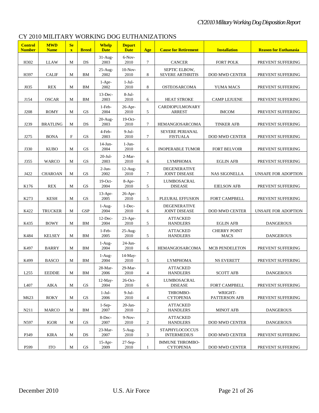### CY 2010 MILITARY WORKING DOG EUTHANIZATIONS

| <b>Control</b><br><b>Number</b> | <b>MWD</b><br><b>Name</b> | Se<br>$\mathbf{X}$ | <b>Breed</b>           | <b>Whelp</b><br><b>Date</b> | <b>Depart</b><br><b>Date</b> | Age                      | <b>Cause for Retirement</b>                 | <b>Installation</b>                | <b>Reason for Euthanasia</b> |
|---------------------------------|---------------------------|--------------------|------------------------|-----------------------------|------------------------------|--------------------------|---------------------------------------------|------------------------------------|------------------------------|
| H302                            | <b>LLAW</b>               | M                  | DS                     | $31-Aug-$<br>2003           | 6-Nov-<br>2010               | 7                        | <b>CANCER</b>                               | <b>FORT POLK</b>                   | PREVENT SUFFERING            |
| H397                            | <b>CALIF</b>              | М                  | BM                     | $25-Aug-$<br>2002           | $10-Nov-$<br>2010            | 8                        | SEPTIC ELBOW,<br><b>SEVERE ARTHRITIS</b>    | <b>DOD MWD CENTER</b>              | PREVENT SUFFERING            |
| J035                            | <b>REX</b>                | M                  | BM                     | $1-Apr-$<br>2002            | $1-Jul-$<br>2010             | 8                        | OSTEOSARCOMA                                | YUMA MACS                          | PREVENT SUFFERING            |
| J154                            | <b>OSCAR</b>              | M                  | BM                     | $13$ -Dec-<br>2003          | $8-Jul-$<br>2010             | 6                        | <b>HEAT STROKE</b>                          | <b>CAMP LEJUENE</b>                | PREVENT SUFFERING            |
| J208                            | <b>ROMY</b>               | M                  | <b>GS</b>              | 1-Feb-<br>2004              | $26$ -Apr-<br>2010           | 5                        | <b>CARDIOPULMONARY</b><br><b>ARREST</b>     | <b>IMCOM</b>                       | PREVENT SUFFERING            |
| J239                            | <b>BRATLING</b>           | M                  | DS                     | $20-Au$ g-<br>2003          | $19$ -Oct-<br>2010           | 7                        | HEMANGIOSARCOMA                             | <b>TINKER AFB</b>                  | PREVENT SUFFERING            |
| J275                            | <b>BONA</b>               | $\mathbf F$        | <b>GS</b>              | 4-Feb-<br>2003              | $9-Jul-$<br>2010             | $\tau$                   | SEVERE PERIANAL<br><b>FISTUALA</b>          | DOD MWD CENTER                     | PREVENT SUFFERING            |
| J330                            | <b>KUBO</b>               | M                  | <b>GS</b>              | $14$ -Jun-<br>2004          | $1-J$ un-<br>2010            | 6                        | <b>INOPERABLE TUMOR</b>                     | <b>FORT BELVOIR</b>                | PREVENT SUFFERING            |
| J355                            | WARCO                     | M                  | <b>GS</b>              | $20 -$ Jul-<br>2003         | 2-Mar-<br>2010               | 6                        | <b>LYMPHOMA</b>                             | <b>EGLIN AFB</b>                   | PREVENT SUFFERING            |
| J422                            | <b>CHAROAN</b>            | M                  | <b>GS</b>              | $2-Jun-$<br>2002            | $12-Aug-$<br>2010            | $\tau$                   | <b>DEGENERATIVE</b><br><b>JOINT DISEASE</b> | <b>NAS SIGONELLA</b>               | UNSAFE FOR ADOPTION          |
| K176                            | <b>REX</b>                | M                  | <b>GS</b>              | $19$ -Oct-<br>2004          | 8-Apr-<br>2010               | 5                        | LUMBOSACRAL<br><b>DISEASE</b>               | <b>EIELSON AFB</b>                 | PREVENT SUFFERING            |
| K273                            | <b>KESH</b>               | M                  | <b>GS</b>              | $13-Apr-$<br>2005           | 26-Apr-<br>2010              | 5                        | PLEURAL EFFUSION                            | FORT CAMPBELL                      | PREVENT SUFFERING            |
| K422                            | <b>TRUCKER</b>            | M                  | <b>GSP</b>             | 1-Aug-<br>2004              | 1-Dec-<br>2010               | 6                        | <b>DEGENERATIVE</b><br><b>JOINT DISEASE</b> | <b>DOD MWD CENTER</b>              | UNSAFE FOR ADOPTION          |
| K435                            | <b>BOWY</b>               | M                  | BM                     | $12$ -Dec-<br>2004          | $23-Apr-$<br>2010            | 5                        | <b>ATTACKED</b><br><b>HANDLERS</b>          | <b>EGLIN AFB</b>                   | <b>DANGEROUS</b>             |
| K484                            | <b>KELSEY</b>             | M                  | BM                     | $1-Feb-$<br>2005            | $25-Aug-$<br>2010            | 5                        | <b>ATTACKED</b><br><b>HANDLERS</b>          | <b>CHERRY POINT</b><br><b>MACS</b> | <b>DANGEROUS</b>             |
| K497                            | <b>BARRY</b>              | M                  | BM                     | $1-Aug-$<br>2004            | $24$ -Jun-<br>2010           | 6                        | HEMANGIOSARCOMA                             | <b>MCB PENDELETON</b>              | PREVENT SUFFERING            |
| K499                            | <b>BASCO</b>              | M                  | BM                     | $1-Aug-$<br>2004            | $14$ -May-<br>2010           | 5                        | <b>LYMPHOMA</b>                             | <b>NS EVERETT</b>                  | PREVENT SUFFERING            |
| L255                            | <b>EEDDIE</b>             | M                  | BM                     | $28-Mar-$<br>2006           | 29-Mar-<br>2010              | 4                        | <b>ATTACKED</b><br><b>HANDLERS</b>          | <b>SCOTT AFB</b>                   | <b>DANGEROUS</b>             |
| L407                            | AIKA                      | М                  | GS                     | $12-May-$<br>2004           | $26$ -Oct-<br>2010           | 6                        | LUMBOSACRAL<br><b>DISEASE</b>               | FORT CAMPBELL                      | PREVENT SUFFERING            |
| M623                            | <b>ROKY</b>               | M                  | GS                     | $1-Jul-$<br>2006            | $9-Jul-$<br>2010             | $\overline{\mathcal{A}}$ | THROMBO-<br><b>CYTOPENIA</b>                | WRIGHT-<br>PATTERSON AFB           | PREVENT SUFFERING            |
| N211                            | <b>MARCO</b>              | M                  | BМ                     | $1-Sep-$<br>2007            | $20$ -Jan-<br>2010           | $\overline{c}$           | <b>ATTACKED</b><br><b>HANDLERS</b>          | <b>MINOT AFB</b>                   | <b>DANGEROUS</b>             |
| N597                            | IGOR                      | M                  | GS                     | 8-Dec-<br>2007              | $9-Nov-$<br>2010             | $\overline{c}$           | <b>ATTACKED</b><br><b>HANDLERS</b>          | <b>DOD MWD CENTER</b>              | <b>DANGEROUS</b>             |
| P349                            | KIRA                      | M                  | DS                     | 23-Mar-<br>2007             | $5-Aug-$<br>2010             | 3                        | <b>STAPHYLOCOCCUS</b><br><b>INTERMEDIUS</b> | <b>DOD MWD CENTER</b>              | PREVENT SUFFERING            |
| P599                            | <b>ITO</b>                | M                  | $\mathbf{G}\mathbf{S}$ | $15$ -Apr-<br>2009          | 27-Sep-<br>2010              | 1                        | <b>IMMUNE THROMBO-</b><br><b>CYTOPENIA</b>  | <b>DOD MWD CENTER</b>              | PREVENT SUFFERING            |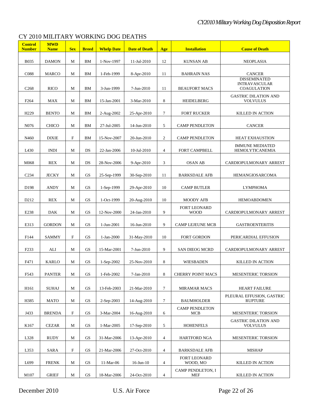## CY 2010 MILITARY WORKING DOG DEATHS

| <b>Control</b><br><b>Number</b> | <b>MWD</b><br><b>Name</b> | <b>Sex</b>  | <b>Breed</b>           | <b>Whelp Date</b> | <b>Date of Death</b> | Age            | <b>Installation</b>                        | <b>Cause of Death</b>                                      |
|---------------------------------|---------------------------|-------------|------------------------|-------------------|----------------------|----------------|--------------------------------------------|------------------------------------------------------------|
| <b>B035</b>                     | <b>DAMON</b>              | M           | BM                     | 1-Nov-1997        | 11-Jul-2010          | 12             | <b>KUNSAN AB</b>                           | <b>NEOPLASIA</b>                                           |
| C088                            | <b>MARCO</b>              | M           | BM                     | 1-Feb-1999        | 8-Apr-2010           | 11             | <b>BAHRAIN NAS</b>                         | <b>CANCER</b>                                              |
| C <sub>268</sub>                | <b>RICO</b>               | M           | <b>BM</b>              | 3-Jun-1999        | 7-Jun-2010           | 11             | <b>BEAUFORT MACS</b>                       | <b>DISSEMINATED</b><br><b>INTRAVASCULAR</b><br>COAGULATION |
| F <sub>264</sub>                | <b>MAX</b>                | M           | BM                     | 15-Jan-2001       | 3-Mar-2010           | 8              | <b>HEIDELBERG</b>                          | <b>GASTRIC DILATION AND</b><br><b>VOLVULUS</b>             |
| H <sub>229</sub>                | <b>BENTO</b>              | M           | BM                     | 2-Aug-2002        | $25 - Apr - 2010$    | 7              | <b>FORT RUCKER</b>                         | KILLED IN ACTION                                           |
| N076                            | <b>CHICO</b>              | M           | BM                     | 27-Jul-2005       | 14-Jun-2010          | 5              | <b>CAMP PENDLETON</b>                      | <b>CANCER</b>                                              |
| N460                            | <b>DIXIE</b>              | F           | BM                     | 15-Nov-2007       | 20-Jun-2010          | 2              | <b>CAMP PENDLETON</b>                      | <b>HEAT EXHAUSTION</b>                                     |
| L430                            | <b>INDI</b>               | M           | DS                     | 22-Jan-2006       | 10-Jul-2010          | 4              | FORT CAMPBELL                              | <b>IMMUNE MEDIATED</b><br><b>HEMOLYTICANEMIA</b>           |
| M068                            | <b>REX</b>                | M           | DS                     | 28-Nov-2006       | $9 - Apr - 2010$     | 3              | <b>OSAN AB</b>                             | CARDIOPULMONARY ARREST                                     |
| C <sub>234</sub>                | <b>JECKY</b>              | M           | GS                     | 25-Sep-1999       | 30-Sep-2010          | 11             | <b>BARKSDALE AFB</b>                       | <b>HEMANGIOSARCOMA</b>                                     |
| D <sub>198</sub>                | <b>ANDY</b>               | M           | GS                     | 1-Sep-1999        | 29-Apr-2010          | 10             | <b>CAMP BUTLER</b>                         | <b>LYMPHOMA</b>                                            |
| D <sub>212</sub>                | <b>REX</b>                | M           | <b>GS</b>              | 1-Oct-1999        | 20-Aug-2010          | 10             | <b>MOODY AFB</b>                           | <b>HEMOABDOMEN</b>                                         |
| E238                            | DAK                       | M           | GS                     | 12-Nov-2000       | 24-Jan-2010          | 9              | <b>FORT LEONARD</b><br><b>WOOD</b>         | CARDIOPULMONARY ARREST                                     |
| E313                            | <b>GORDON</b>             | M           | <b>GS</b>              | 1-Jun-2001        | 16-Jun-2010          | 9              | <b>CAMP LEJEUNE MCB</b>                    | <b>GASTROENTERITIS</b>                                     |
| F144                            | SAMMY                     | F           | <b>GS</b>              | 1-Jan-2000        | 31-May-2010          | 10             | <b>FORT GORDON</b>                         | PERICARDIAL EFFUSION                                       |
| F <sub>233</sub>                | ALI                       | M           | <b>GS</b>              | 15-Mar-2001       | 7-Jun-2010           | 9              | <b>SAN DIEOG MCRD</b>                      | CARDIOPULMONARY ARREST                                     |
| F471                            | <b>KARLO</b>              | M           | <b>GS</b>              | $1-Sep-2002$      | 25-Nov-2010          | 8              | <b>WIESBADEN</b>                           | KILLED IN ACTION                                           |
| F543                            | <b>PANTER</b>             | $\mathbf M$ | $\mathbf{G}\mathbf{S}$ | 1-Feb-2002        | 7-Jan-2010           | 8              | <b>CHERRY POINT MACS</b>                   | <b>MESENTERIC TORSION</b>                                  |
|                                 |                           |             |                        |                   |                      |                |                                            |                                                            |
| H <sub>161</sub>                | <b>SUHAJ</b>              | M           | GS                     | 13-Feb-2003       | 21-Mar-2010          | $\tau$         | <b>MIRAMAR MACS</b>                        | <b>HEART FAILURE</b><br>PLEURAL EFFUSION, GASTRIC          |
| H385                            | <b>MATO</b>               | M           | GS                     | $2-Sep-2003$      | 14-Aug-2010          | $\tau$         | <b>BAUMHOLDER</b><br><b>CAMP PENDLETON</b> | <b>RUPTURE</b>                                             |
| J433                            | <b>BRENDA</b>             | F           | GS                     | 3-Mar-2004        | 16-Aug-2010          | 6              | <b>MCB</b>                                 | <b>MESENTERIC TORSION</b><br><b>GASTRIC DILATION AND</b>   |
| K <sub>167</sub>                | <b>CEZAR</b>              | M           | GS                     | 1-Mar-2005        | 17-Sep-2010          | 5              | <b>HOHENFELS</b>                           | <b>VOLVULUS</b>                                            |
| L328                            | RUDY                      | M           | GS                     | 31-Mar-2006       | 13-Apr-2010          | $\overline{4}$ | <b>HARTFORD NGA</b>                        | MESENTERIC TORSION                                         |
| L353                            | SARA                      | F           | GS                     | 21-Mar-2006       | 27-Oct-2010          | 4              | <b>BARKSDALE AFB</b>                       | <b>MISHAP</b>                                              |
| L699                            | <b>FRENK</b>              | M           | GS                     | 11-Mar-06         | $16$ -Jun- $10$      | 4              | <b>FORT LEONARD</b><br>WOOD, MO            | KILLED IN ACTION                                           |
| M107                            | <b>GRIEF</b>              | $\mathbf M$ | GS                     | 18-Mar-2006       | 24-Oct-2010          | $\overline{4}$ | CAMP PENDLETON, I<br><b>MEF</b>            | KILLED IN ACTION                                           |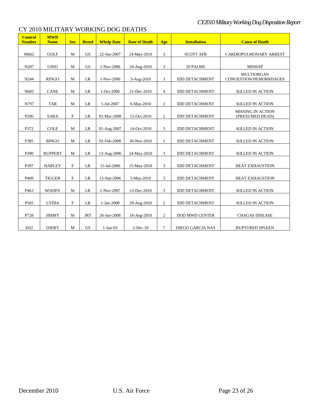| <b>Control</b><br><b>Number</b> | <b>MWD</b><br><b>Name</b> | <b>Sex</b>  | <b>Breed</b> | <b>Whelp Date</b> | <b>Date of Death</b> | Age            | <b>Installation</b>     | <b>Cause of Death</b>                       |
|---------------------------------|---------------------------|-------------|--------------|-------------------|----------------------|----------------|-------------------------|---------------------------------------------|
| M662                            | <b>GOLF</b>               | M           | <b>GS</b>    | 22-Jun-2007       | 24-May-2010          | 3              | <b>SCOTT AFB</b>        | CARDIOPULMONARY ARREST                      |
| N207                            | <b>GINO</b>               | M           | <b>GS</b>    | 1-Nov-2006        | 24-Aug-2010          | 3              | 29 PALMS                | <b>MISHAP</b>                               |
| N244                            | <b>RINGO</b>              | M           | LR           | 1-Nov-2006        | 3-Aug-2010           | 3              | <b>IDD DETACHMENT</b>   | <b>MULTIORGAN</b><br>CONGESTION/HEMORRHAGES |
| N603                            | <b>CANE</b>               | M           | LR           | 1-Oct-2006        | 21-Dec-2010          | $\overline{4}$ | <b>IDD DETACHMENT</b>   | <b>KILLED IN ACTION</b>                     |
| N797                            | <b>TAR</b>                | M           | LR           | 1-Jul-2007        | 6-May-2010           | $\mathbf{2}$   | <b>IDD DETACHMENT</b>   | KILLED IN ACTION                            |
| P <sub>206</sub>                | <b>SARA</b>               | $\mathbf F$ | LR           | 01-Mar-2008       | 12-Oct-2010          | $\overline{2}$ | <b>IDD DETACHMENT</b>   | <b>MISSING IN ACTION</b><br>(PRESUMED DEAD) |
| P372                            | <b>COLE</b>               | M           | LR           | 01-Aug-2007       | 14-Oct-2010          | $\mathfrak{Z}$ | <b>IDD DETACHMENT</b>   | KILLED IN ACTION                            |
| P385                            | <b>BINGO</b>              | M           | LR           | 01-Feb-2008       | 30-Nov-2010          | $\overline{c}$ | <b>IDD DETACHMENT</b>   | KILLED IN ACTION                            |
| P390                            | <b>RUPPERT</b>            | M           | LR           | 13-Aug-2006       | 24-May-2010          | 3              | <b>IDD DETACHMENT</b>   | KILLED IN ACTION                            |
| P397                            | <b>HARLEY</b>             | $\mathbf F$ | LR           | 15-Jul-2006       | 15-May-2010          | 3              | <b>IDD DETACHMENT</b>   | <b>HEAT EXHAUSTION</b>                      |
| P409                            | <b>TIGGER</b>             | $\mathbf F$ | LR           | 15-Sep-2006       | 5-May-2010           | $\mathfrak{Z}$ | <b>IDD DETACHMENT</b>   | <b>HEAT EXHAUSTION</b>                      |
| P <sub>463</sub>                | <b>WOODY</b>              | M           | LR           | 1-Nov-2007        | 13-Dec-2010          | 3              | <b>IDD DETACHMENT</b>   | <b>KILLED IN ACTION</b>                     |
| P <sub>565</sub>                | <b>LYDIA</b>              | $\mathbf F$ | LR           | 1-Jan-2008        | 29-Aug-2010          | 2              | <b>IDD DETACHMENT</b>   | KILLED IN ACTION                            |
| P728                            | <b>JIMMY</b>              | M           | <b>JRT</b>   | 26-Jun-2008       | 18-Aug-2010          | $\overline{c}$ | <b>DOD MWD CENTER</b>   | <b>CHAGAS DISEASE</b>                       |
| J032                            | <b>DJERY</b>              | M           | <b>GS</b>    | $1-Jun-03$        | $2$ -Dec-10          | $\tau$         | <b>DIEGO GARCIA NAS</b> | <b>RUPTURED SPLEEN</b>                      |

### CY 2010 MILITARY WORKING DOG DEATHS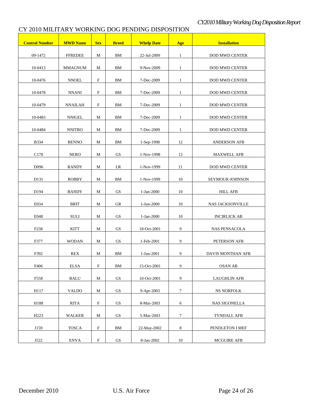## CY 2010 MILITARY WORKING DOG PENDING DISPOSITION

| <b>Control Number</b> | <b>MWD Name</b> | <b>Sex</b>                | <b>Breed</b>           | <b>Whelp Date</b> | Age              | <b>Installation</b>     |
|-----------------------|-----------------|---------------------------|------------------------|-------------------|------------------|-------------------------|
| 09-1472               | <b>FFREDEE</b>  | M                         | BМ                     | 22-Jul-2009       | $\mathbf{1}$     | DOD MWD CENTER          |
| 10-0413               | <b>MMAGNUM</b>  | М                         | BМ                     | 9-Nov-2009        | $\mathbf{1}$     | DOD MWD CENTER          |
| 10-0476               | <b>NNOEL</b>    | $\boldsymbol{\mathrm{F}}$ | BМ                     | 7-Dec-2009        | $\mathbf{1}$     | DOD MWD CENTER          |
| 10-0478               | <b>NNANI</b>    | F                         | BМ                     | 7-Dec-2009        | $\mathbf{1}$     | DOD MWD CENTER          |
| 10-0479               | NNAILAH         | F                         | BМ                     | 7-Dec-2009        | $\mathbf{1}$     | DOD MWD CENTER          |
| 10-0483               | NNIGEL          | М                         | BМ                     | 7-Dec-2009        | 1                | DOD MWD CENTER          |
| 10-0484               | <b>NNITRO</b>   | М                         | BМ                     | 7-Dec-2009        | $\mathbf{1}$     | DOD MWD CENTER          |
| <b>B334</b>           | <b>BENNO</b>    | М                         | BМ                     | 1-Sep-1998        | 12               | ANDERSON AFB            |
| C178                  | <b>NERO</b>     | М                         | GS                     | 1-Nov-1998        | 12               | <b>MAXWELL AFB</b>      |
| D <sub>096</sub>      | <b>RANDY</b>    | M                         | LR                     | 1-Nov-1999        | 11               | <b>DOD MWD CENTER</b>   |
| D <sub>131</sub>      | <b>ROBBY</b>    | M                         | BМ                     | 1-Nov-1999        | 10               | SEYMOUR-JOHNSON         |
| D <sub>194</sub>      | <b>BANDY</b>    | M                         | GS                     | 1-Jan-2000        | 10               | <b>HILL AFB</b>         |
| E034                  | <b>BRIT</b>     | М                         | $G$ R                  | $1-Jun-2000$      | 10               | <b>NAS JACKSONVILLE</b> |
| E048                  | <b>SULI</b>     | М                         | GS                     | 1-Jan-2000        | 10               | <b>INCIRLICK AB</b>     |
| F <sub>238</sub>      | <b>KITT</b>     | М                         | GS                     | 18-Oct-2001       | 9                | <b>NAS PENSACOLA</b>    |
| F377                  | <b>WODAN</b>    | M                         | GS                     | 1-Feb-2001        | 9                | PETERSON AFB            |
| F392                  | REX             | M                         | BМ                     | $1-Jun-2001$      | 9                | DAVIS MONTHAN AFB       |
| F406                  | <b>ELSA</b>     | F                         | BМ                     | 15-Oct-2001       | 9                | <b>OSAN AB</b>          |
| F558                  | <b>BALU</b>     | $\mathbf M$               | $\mathrm{GS}$          | 10-Oct-2001       | $\boldsymbol{9}$ | <b>LAUGHLIN AFB</b>     |
| H117                  | <b>VALDO</b>    | М                         | GS                     | 9-Apr-2003        | $\boldsymbol{7}$ | <b>NS NORFOLK</b>       |
| H188                  | <b>RITA</b>     | $\boldsymbol{\mathrm{F}}$ | GS                     | 8-Mar-2003        | 6                | <b>NAS SIGONELLA</b>    |
| H <sub>223</sub>      | <b>WALKER</b>   | M                         | GS                     | 5-Mar-2003        | $\boldsymbol{7}$ | <b>TYNDALL AFB</b>      |
| J159                  | <b>TOSCA</b>    | $\boldsymbol{\mathrm{F}}$ | BM                     | 22-May-2002       | $\,8\,$          | PENDLETON I MEF         |
| J522                  | <b>ENYA</b>     | ${\bf F}$                 | $\mathbf{G}\mathbf{S}$ | 8-Jan-2002        | $10\,$           | <b>MCGUIRE AFB</b>      |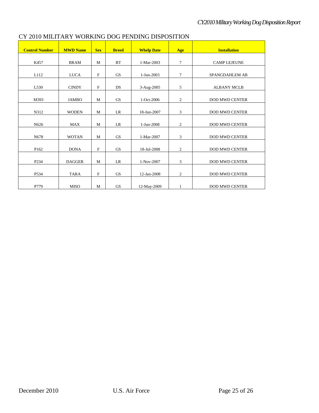| <b>Control Number</b> | <b>MWD Name</b> | <b>Sex</b>  | <b>Breed</b>           | <b>Whelp Date</b> | Age              | <b>Installation</b>   |
|-----------------------|-----------------|-------------|------------------------|-------------------|------------------|-----------------------|
| K457                  | <b>BRAM</b>     | M           | BT                     | 1-Mar-2003        | $\tau$           | <b>CAMP LEJEUNE</b>   |
| L112                  | <b>LUCA</b>     | $\mathbf F$ | <b>GS</b>              | 1-Jun-2003        | $\tau$           | <b>SPANGDAHLEM AB</b> |
| L530                  | <b>CINDY</b>    | $\mathbf F$ | DS                     | 3-Aug-2005        | 5                | <b>ALBANY MCLB</b>    |
| M393                  | <b>JAMBO</b>    | M           | <b>GS</b>              | 1-Oct-2006        | 2                | <b>DOD MWD CENTER</b> |
| N312                  | <b>WODEN</b>    | M           | LR                     | 18-Jun-2007       | 3                | <b>DOD MWD CENTER</b> |
| N626                  | <b>MAX</b>      | M           | LR                     | 1-Jun-2008        | $\mathfrak{2}$   | <b>DOD MWD CENTER</b> |
| N678                  | <b>WOTAN</b>    | M           | <b>GS</b>              | 1-Mar-2007        | 3                | <b>DOD MWD CENTER</b> |
| P162                  | <b>DONA</b>     | $\mathbf F$ | $\mathbf{G}\mathbf{S}$ | 18-Jul-2008       | $\boldsymbol{2}$ | <b>DOD MWD CENTER</b> |
| P <sub>2</sub> 34     | <b>DAGGER</b>   | M           | LR                     | 1-Nov-2007        | 3                | <b>DOD MWD CENTER</b> |
| P534                  | <b>TARA</b>     | $\mathbf F$ | GS                     | 12-Jan-2008       | $\overline{c}$   | <b>DOD MWD CENTER</b> |
| P779                  | <b>MISO</b>     | M           | <b>GS</b>              | 12-May-2009       | 1                | <b>DOD MWD CENTER</b> |

#### CY 2010 MILITARY WORKING DOG PENDING DISPOSITION